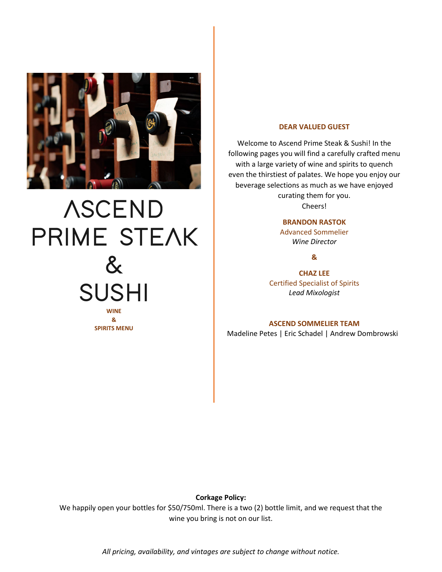

# **ASCEND PRIME STEAK & SUSHI WINE & SPIRITS MENU**

#### **DEAR VALUED GUEST**

Welcome to Ascend Prime Steak & Sushi! In the following pages you will find a carefully crafted menu with a large variety of wine and spirits to quench even the thirstiest of palates. We hope you enjoy our beverage selections as much as we have enjoyed curating them for you. Cheers!

**BRANDON RASTOK**

Advanced Sommelier *Wine Director*

**&**

**CHAZ LEE** Certified Specialist of Spirits *Lead Mixologist*

#### **ASCEND SOMMELIER TEAM**

Madeline Petes | Eric Schadel | Andrew Dombrowski

**Corkage Policy:**

We happily open your bottles for \$50/750ml. There is a two (2) bottle limit, and we request that the wine you bring is not on our list.

*All pricing, availability, and vintages are subject to change without notice.*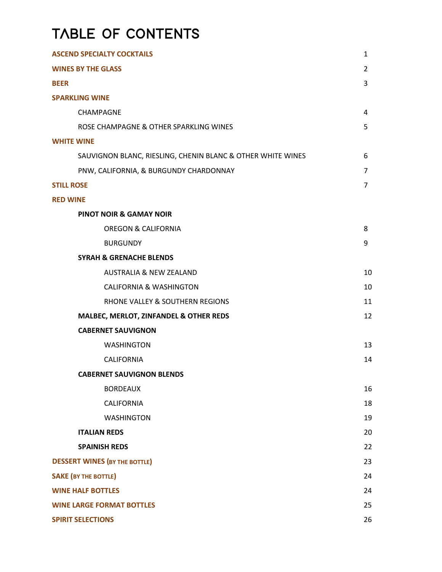# **TABLE OF CONTENTS**

| <b>ASCEND SPECIALTY COCKTAILS</b>                           |                |
|-------------------------------------------------------------|----------------|
| <b>WINES BY THE GLASS</b>                                   |                |
| <b>BEER</b>                                                 | 3              |
| <b>SPARKLING WINE</b>                                       |                |
| CHAMPAGNE                                                   | 4              |
| ROSE CHAMPAGNE & OTHER SPARKLING WINES                      | 5              |
| <b>WHITE WINE</b>                                           |                |
| SAUVIGNON BLANC, RIESLING, CHENIN BLANC & OTHER WHITE WINES | 6              |
| PNW, CALIFORNIA, & BURGUNDY CHARDONNAY                      | $\overline{7}$ |
| <b>STILL ROSE</b>                                           | $\overline{7}$ |
| <b>RED WINE</b>                                             |                |
| <b>PINOT NOIR &amp; GAMAY NOIR</b>                          |                |
| <b>OREGON &amp; CALIFORNIA</b>                              | 8              |
| <b>BURGUNDY</b>                                             | 9              |
| <b>SYRAH &amp; GRENACHE BLENDS</b>                          |                |
| <b>AUSTRALIA &amp; NEW ZEALAND</b>                          | 10             |
| <b>CALIFORNIA &amp; WASHINGTON</b>                          | 10             |
| RHONE VALLEY & SOUTHERN REGIONS                             | 11             |
| MALBEC, MERLOT, ZINFANDEL & OTHER REDS                      | 12             |
| <b>CABERNET SAUVIGNON</b>                                   |                |
| <b>WASHINGTON</b>                                           | 13             |
| <b>CALIFORNIA</b>                                           | 14             |
| <b>CABERNET SAUVIGNON BLENDS</b>                            |                |
| <b>BORDEAUX</b>                                             | 16             |
| CALIFORNIA                                                  | 18             |
| <b>WASHINGTON</b>                                           | 19             |
| <b>ITALIAN REDS</b>                                         | 20             |
| <b>SPAINISH REDS</b>                                        | 22             |
| <b>DESSERT WINES (BY THE BOTTLE)</b>                        | 23             |
| <b>SAKE (BY THE BOTTLE)</b>                                 | 24             |
| <b>WINE HALF BOTTLES</b>                                    | 24             |
| <b>WINE LARGE FORMAT BOTTLES</b>                            | 25             |
| <b>SPIRIT SELECTIONS</b>                                    | 26             |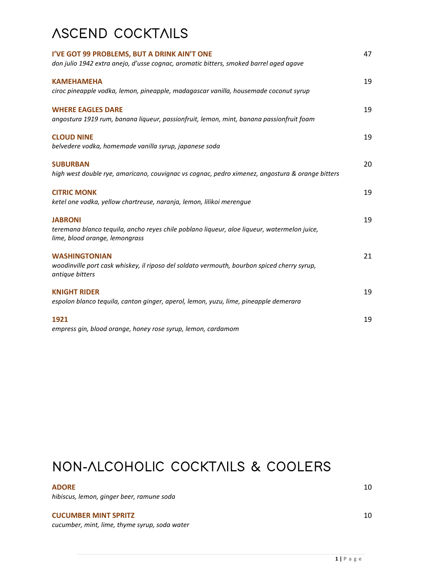# **ASCEND COCKTAILS**

| I'VE GOT 99 PROBLEMS, BUT A DRINK AIN'T ONE<br>don julio 1942 extra anejo, d'usse cognac, aromatic bitters, smoked barrel aged agave            | 47 |
|-------------------------------------------------------------------------------------------------------------------------------------------------|----|
| <b>KAMEHAMEHA</b><br>ciroc pineapple vodka, lemon, pineapple, madagascar vanilla, housemade coconut syrup                                       | 19 |
| <b>WHERE EAGLES DARE</b><br>angostura 1919 rum, banana liqueur, passionfruit, lemon, mint, banana passionfruit foam                             | 19 |
| <b>CLOUD NINE</b><br>belvedere vodka, homemade vanilla syrup, japanese soda                                                                     | 19 |
| <b>SUBURBAN</b><br>high west double rye, amaricano, couvignac vs cognac, pedro ximenez, angostura & orange bitters                              | 20 |
| <b>CITRIC MONK</b><br>ketel one vodka, yellow chartreuse, naranja, lemon, lilikoi merengue                                                      | 19 |
| <b>JABRONI</b><br>teremana blanco tequila, ancho reyes chile poblano liqueur, aloe liqueur, watermelon juice,<br>lime, blood orange, lemongrass | 19 |
| <b>WASHINGTONIAN</b><br>woodinville port cask whiskey, il riposo del soldato vermouth, bourbon spiced cherry syrup,<br>antique bitters          | 21 |
| <b>KNIGHT RIDER</b><br>espolon blanco tequila, canton ginger, aperol, lemon, yuzu, lime, pineapple demerara                                     | 19 |
| 1921<br>empress gin, blood orange, honey rose syrup, lemon, cardamom                                                                            | 19 |

## **NON-ALCOHOLIC COCKTAILS & COOLERS**

#### ADORE **10**

*hibiscus, lemon, ginger beer, ramune soda*

#### **CUCUMBER MINT SPRITZ** 10

*cucumber, mint, lime, thyme syrup, soda water*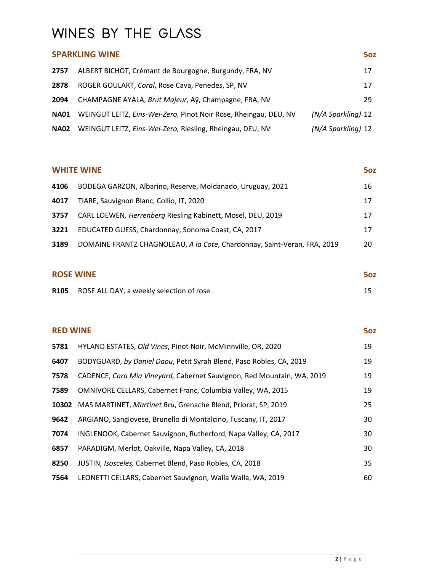## **WINES BY THE GLASS**

## **SPARKLING WINE 502**  ALBERT BICHOT, Crémant de Bourgogne, Burgundy, FRA, NV 417 ROGER GOULART, *Coral*, Rose Cava, Penedes, SP, NV 17 CHAMPAGNE AYALA, *Brut Majeur,* Aÿ, Champagne, FRA, NV 29 **NA01** WEINGUT LEITZ, *Eins-Wei-Zero,* Pinot Noir Rose, Rheingau, DEU, NV *(N/A Sparkling)* 12 **NA02** WEINGUT LEITZ, *Eins-Wei-Zero,* Riesling, Rheingau, DEU, NV *(N/A Sparkling)* 12

## **WHITE WINE** 50Z BODEGA GARZON, Albarino, Reserve, Moldanado, Uruguay, 2021 16 TIARE, Sauvignon Blanc, Collio, IT, 2020 17 17 CARL LOEWEN*, Herrenberg* Riesling Kabinett, Mosel, DEU, 2019 17 EDUCATED GUESS, Chardonnay, Sonoma Coast, CA, 2017 17 DOMAINE FRANTZ CHAGNOLEAU, *A la Cote*, Chardonnay, Saint-Veran, FRA, 2019 20

#### **ROSE WINE** 502

| R105 ROSE ALL DAY, a weekly selection of rose |  |
|-----------------------------------------------|--|
|                                               |  |

## **RED WINE 502**  HYLAND ESTATES, *Old Vines*, Pinot Noir, McMinnville, OR, 2020 19 BODYGUARD, *by Daniel Daou*, Petit Syrah Blend, Paso Robles, CA, 2019 19 CADENCE, *Cara Mia Vineyard,* Cabernet Sauvignon, Red Mountain, WA, 2019 19 OMNIVORE CELLARS, Cabernet Franc, Columbia Valley, WA, 2015 19 MAS MARTINET, *Martinet Bru*, Grenache Blend, Priorat, SP, 2019 25 ARGIANO, Sangiovese, Brunello di Montalcino, Tuscany, IT, 2017 30 INGLENOOK, Cabernet Sauvignon, Rutherford, Napa Valley, CA, 2017 30 PARADIGM, Merlot, Oakville, Napa Valley, CA, 2018 **30** 30 JUSTIN*, Isosceles,* Cabernet Blend, Paso Robles, CA, 2018 35 LEONETTI CELLARS, Cabernet Sauvignon, Walla Walla, WA, 2019 60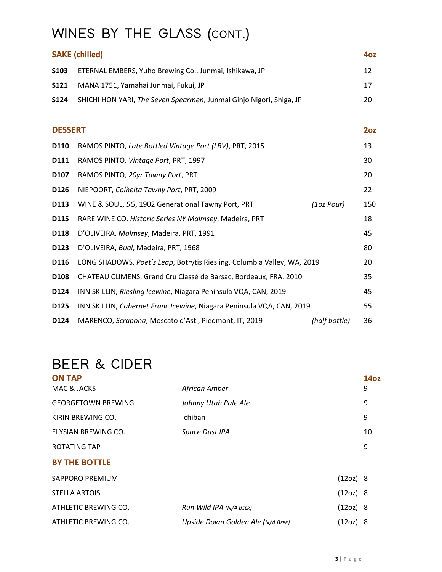# **WINES BY THE GLASS (CONT.)**

|                | <b>SAKE (chilled)</b>                                                   |               | 4oz |
|----------------|-------------------------------------------------------------------------|---------------|-----|
| S103           | ETERNAL EMBERS, Yuho Brewing Co., Junmai, Ishikawa, JP                  |               | 12  |
| <b>S121</b>    | MANA 1751, Yamahai Junmai, Fukui, JP                                    |               | 17  |
| <b>S124</b>    | SHICHI HON YARI, The Seven Spearmen, Junmai Ginjo Nigori, Shiga, JP     |               | 20  |
| <b>DESSERT</b> |                                                                         |               | 20z |
| D110           | RAMOS PINTO, Late Bottled Vintage Port (LBV), PRT, 2015                 |               | 13  |
| D111           | RAMOS PINTO, Vintage Port, PRT, 1997                                    |               | 30  |
| D107           | RAMOS PINTO, 20yr Tawny Port, PRT                                       |               | 20  |
| D126           | NIEPOORT, Colheita Tawny Port, PRT, 2009                                |               | 22  |
| D113           | WINE & SOUL, 5G, 1902 Generational Tawny Port, PRT                      | (1oz Pour)    | 150 |
| D115           | RARE WINE CO. Historic Series NY Malmsey, Madeira, PRT                  |               | 18  |
| D118           | D'OLIVEIRA, Malmsey, Madeira, PRT, 1991                                 |               | 45  |
| D123           | D'OLIVEIRA, Bual, Madeira, PRT, 1968                                    |               | 80  |
| D116           | LONG SHADOWS, Poet's Leap, Botrytis Riesling, Columbia Valley, WA, 2019 |               | 20  |
| D108           | CHATEAU CLIMENS, Grand Cru Classé de Barsac, Bordeaux, FRA, 2010        |               | 35  |
| D124           | INNISKILLIN, Riesling Icewine, Niagara Peninsula VQA, CAN, 2019         |               | 45  |
| D125           | INNISKILLIN, Cabernet Franc Icewine, Niagara Peninsula VQA, CAN, 2019   |               | 55  |
| D124           | MARENCO, Scrapona, Moscato d'Asti, Piedmont, IT, 2019                   | (half bottle) | 36  |

# **BEER & CIDER**

| <b>ON TAP</b>             |                                   |          | <b>14oz</b> |
|---------------------------|-----------------------------------|----------|-------------|
| MAC & JACKS               | African Amber                     |          | 9           |
| <b>GEORGETOWN BREWING</b> | Johnny Utah Pale Ale              |          | 9           |
| KIRIN BREWING CO.         | Ichiban                           |          | 9           |
| ELYSIAN BREWING CO.       | Space Dust IPA                    |          | 10          |
| ROTATING TAP              |                                   |          | 9           |
| <b>BY THE BOTTLE</b>      |                                   |          |             |
| SAPPORO PREMIUM           |                                   | (12oz) 8 |             |
| <b>STELLA ARTOIS</b>      |                                   | (12oz) 8 |             |
| ATHLETIC BREWING CO.      | Run Wild IPA (N/A BEER)           | (12oz) 8 |             |
| ATHLETIC BREWING CO.      | Upside Down Golden Ale (N/A BEER) | (12oz) 8 |             |
|                           |                                   |          |             |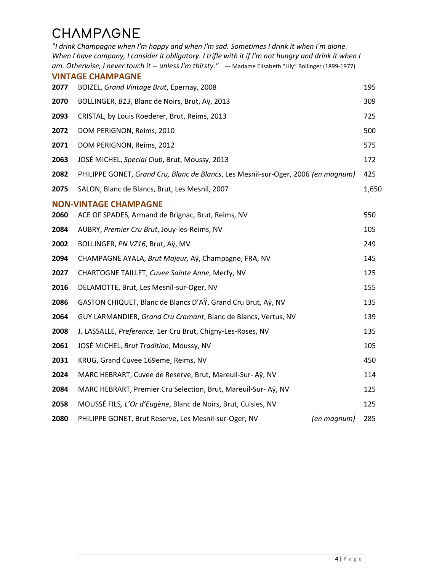# **CHAMPAGNE**

*"I drink Champagne when I'm happy and when I'm sad. Sometimes I drink it when I'm alone. When I have company, I consider it obligatory. I trifle with it if I'm not hungry and drink it when I am. Otherwise, I never touch it -- unless I'm thirsty."* --- Madame Elisabeth "Lily" Bollinger (1899-1977) **VINTAGE CHAMPAGNE** BOIZEL, *Grand Vintage Brut*, Epernay, 2008 195 BOLLINGER, *B13*, Blanc de Noirs, Brut, Aÿ, 2013 309 CRISTAL, by Louis Roederer, Brut, Reims, 2013 725 DOM PERIGNON, Reims, 2010 **500** 500 DOM PERIGNON, Reims, 2012 **575**  JOSÉ MICHEL, *Special Club*, Brut, Moussy, 2013 172 PHILIPPE GONET, *Grand Cru, Blanc de Blancs*, Les Mesnil-sur-Oger, 2006 *(en magnum)* 425 SALON, Blanc de Blancs, Brut, Les Mesnil, 2007 **1,650 NON-VINTAGE CHAMPAGNE** ACE OF SPADES, Armand de Brignac, Brut, Reims, NV 550 AUBRY, *Premier Cru Brut*, Jouy-les-Reims, NV 105 BOLLINGER, *PN VZ16*, Brut, Aÿ, MV 249 CHAMPAGNE AYALA, *Brut Majeur,* Aÿ, Champagne, FRA, NV 145 CHARTOGNE TAILLET, *Cuvee Sainte Anne*, Merfy, NV 125 DELAMOTTE, Brut, Les Mesnil-sur-Oger, NV 155 GASTON CHIQUET, Blanc de Blancs D'AŸ, Grand Cru Brut, Aÿ, NV 135 GUY LARMANDIER, *Grand Cru Cramant*, Blanc de Blancs, Vertus, NV 139 J. LASSALLE, *Preference,* 1er Cru Brut, Chigny-Les-Roses, NV 135 JOSÉ MICHEL, *Brut Tradition*, Moussy, NV 105 KRUG, Grand Cuvee 169eme, Reims, NV 450 MARC HEBRART, Cuvee de Reserve, Brut, Mareuil-Sur- Aÿ, NV 114 MARC HEBRART, Premier Cru Selection, Brut, Mareuil-Sur- Aÿ, NV 125 MOUSSÉ FILS*, L'Or d'Eugène*, Blanc de Noirs, Brut, Cuisles, NV 125 PHILIPPE GONET, Brut Reserve, Les Mesnil-sur-Oger, NV *(en magnum)* 285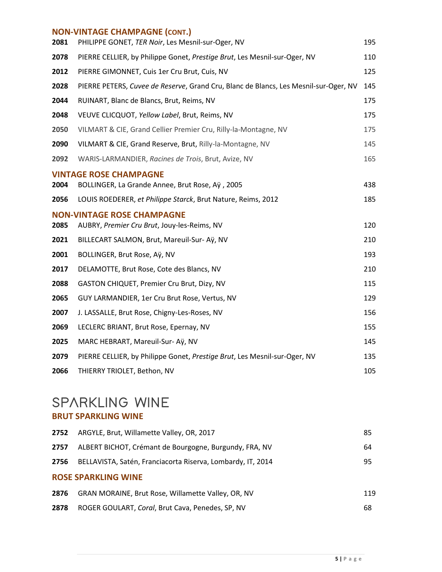#### **NON-VINTAGE CHAMPAGNE (CONT.)**

| 2081 | PHILIPPE GONET, TER Noir, Les Mesnil-sur-Oger, NV                                    | 195 |
|------|--------------------------------------------------------------------------------------|-----|
| 2078 | PIERRE CELLIER, by Philippe Gonet, Prestige Brut, Les Mesnil-sur-Oger, NV            | 110 |
| 2012 | PIERRE GIMONNET, Cuis 1er Cru Brut, Cuis, NV                                         | 125 |
| 2028 | PIERRE PETERS, Cuvee de Reserve, Grand Cru, Blanc de Blancs, Les Mesnil-sur-Oger, NV | 145 |
| 2044 | RUINART, Blanc de Blancs, Brut, Reims, NV                                            | 175 |
| 2048 | VEUVE CLICQUOT, Yellow Label, Brut, Reims, NV                                        | 175 |
| 2050 | VILMART & CIE, Grand Cellier Premier Cru, Rilly-la-Montagne, NV                      | 175 |
| 2090 | VILMART & CIE, Grand Reserve, Brut, Rilly-la-Montagne, NV                            | 145 |
| 2092 | WARIS-LARMANDIER, Racines de Trois, Brut, Avize, NV                                  | 165 |
|      | <b>VINTAGE ROSE CHAMPAGNE</b>                                                        |     |
| 2004 | BOLLINGER, La Grande Annee, Brut Rose, Aÿ, 2005                                      | 438 |
| 2056 | LOUIS ROEDERER, et Philippe Starck, Brut Nature, Reims, 2012                         | 185 |
|      | <b>NON-VINTAGE ROSE CHAMPAGNE</b>                                                    |     |
| 2085 | AUBRY, Premier Cru Brut, Jouy-les-Reims, NV                                          | 120 |
| 2021 | BILLECART SALMON, Brut, Mareuil-Sur- Aÿ, NV                                          | 210 |
| 2001 | BOLLINGER, Brut Rose, Aÿ, NV                                                         | 193 |
| 2017 | DELAMOTTE, Brut Rose, Cote des Blancs, NV                                            | 210 |
| 2088 | GASTON CHIQUET, Premier Cru Brut, Dizy, NV                                           | 115 |
| 2065 | GUY LARMANDIER, 1er Cru Brut Rose, Vertus, NV                                        | 129 |
| 2007 | J. LASSALLE, Brut Rose, Chigny-Les-Roses, NV                                         | 156 |
| 2069 | LECLERC BRIANT, Brut Rose, Epernay, NV                                               | 155 |
| 2025 | MARC HEBRART, Mareuil-Sur- Aÿ, NV                                                    | 145 |
| 2079 | PIERRE CELLIER, by Philippe Gonet, Prestige Brut, Les Mesnil-sur-Oger, NV            | 135 |
| 2066 | THIERRY TRIOLET, Bethon, NV                                                          | 105 |

## **SPARKLING WINE**

### **BRUT SPARKLING WINE**

| 2752                       | ARGYLE, Brut, Willamette Valley, OR, 2017                   | 85  |
|----------------------------|-------------------------------------------------------------|-----|
| 2757                       | ALBERT BICHOT, Crémant de Bourgogne, Burgundy, FRA, NV      | 64  |
| 2756                       | BELLAVISTA, Satén, Franciacorta Riserva, Lombardy, IT, 2014 | 95  |
| <b>ROSE SPARKLING WINE</b> |                                                             |     |
| 2876                       | GRAN MORAINE, Brut Rose, Willamette Valley, OR, NV          | 119 |
| 2878                       | ROGER GOULART, Coral, Brut Cava, Penedes, SP, NV            | 68  |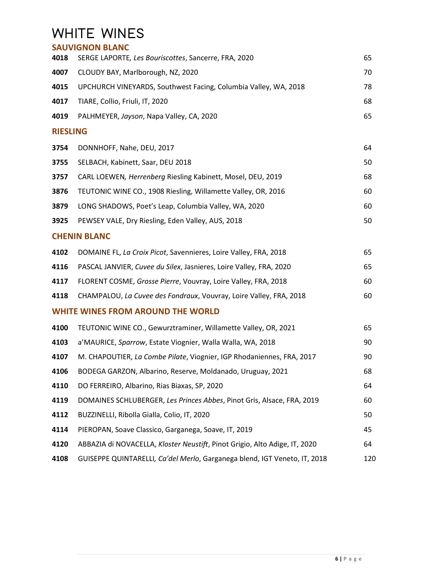## **WHITE WINES**

|                 | <b>SAUVIGNON BLANC</b>                                                     |     |
|-----------------|----------------------------------------------------------------------------|-----|
| 4018            | SERGE LAPORTE, Les Bouriscottes, Sancerre, FRA, 2020                       | 65  |
| 4007            | CLOUDY BAY, Marlborough, NZ, 2020                                          | 70  |
| 4015            | UPCHURCH VINEYARDS, Southwest Facing, Columbia Valley, WA, 2018            | 78  |
| 4017            | TIARE, Collio, Friuli, IT, 2020                                            | 68  |
| 4019            | PALHMEYER, Jayson, Napa Valley, CA, 2020                                   | 65  |
| <b>RIESLING</b> |                                                                            |     |
| 3754            | DONNHOFF, Nahe, DEU, 2017                                                  | 64  |
| 3755            | SELBACH, Kabinett, Saar, DEU 2018                                          | 50  |
| 3757            | CARL LOEWEN, Herrenberg Riesling Kabinett, Mosel, DEU, 2019                | 68  |
| 3876            | TEUTONIC WINE CO., 1908 Riesling, Willamette Valley, OR, 2016              | 60  |
| 3879            | LONG SHADOWS, Poet's Leap, Columbia Valley, WA, 2020                       | 60  |
| 3925            | PEWSEY VALE, Dry Riesling, Eden Valley, AUS, 2018                          | 50  |
|                 | <b>CHENIN BLANC</b>                                                        |     |
| 4102            | DOMAINE FL, La Croix Picot, Savennieres, Loire Valley, FRA, 2018           | 65  |
| 4116            | PASCAL JANVIER, Cuvee du Silex, Jasnieres, Loire Valley, FRA, 2020         | 65  |
| 4117            | FLORENT COSME, Grosse Pierre, Vouvray, Loire Valley, FRA, 2018             | 60  |
| 4118            | CHAMPALOU, La Cuvee des Fondraux, Vouvray, Loire Valley, FRA, 2018         | 60  |
|                 | <b>WHITE WINES FROM AROUND THE WORLD</b>                                   |     |
| 4100            | TEUTONIC WINE CO., Gewurztraminer, Willamette Valley, OR, 2021             | 65  |
| 4103            | a'MAURICE, Sparrow, Estate Viognier, Walla Walla, WA, 2018                 | 90  |
| 4107            | M. CHAPOUTIER, La Combe Pilate, Viognier, IGP Rhodaniennes, FRA, 2017      | 90  |
| 4106            | BODEGA GARZON, Albarino, Reserve, Moldanado, Uruguay, 2021                 | 68  |
| 4110            | DO FERREIRO, Albarino, Rias Biaxas, SP, 2020                               | 64  |
| 4119            | DOMAINES SCHLUBERGER, Les Princes Abbes, Pinot Gris, Alsace, FRA, 2019     | 60  |
| 4112            | BUZZINELLI, Ribolla Gialla, Colio, IT, 2020                                | 50  |
| 4114            | PIEROPAN, Soave Classico, Garganega, Soave, IT, 2019                       | 45  |
| 4120            | ABBAZIA di NOVACELLA, Kloster Neustift, Pinot Grigio, Alto Adige, IT, 2020 | 64  |
| 4108            | GUISEPPE QUINTARELLI, Ca'del Merlo, Garganega blend, IGT Veneto, IT, 2018  | 120 |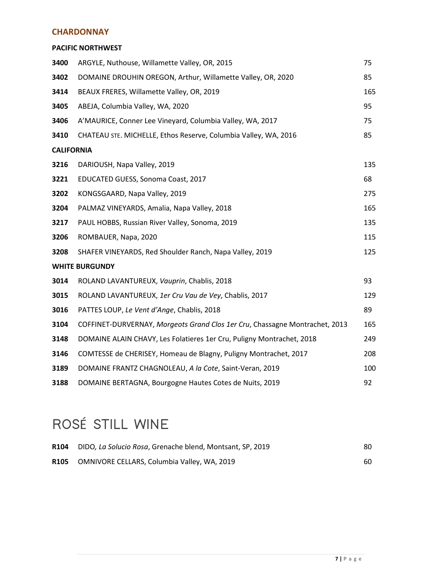#### **CHARDONNAY**

#### **PACIFIC NORTHWEST**

| 3400              | ARGYLE, Nuthouse, Willamette Valley, OR, 2015                               | 75  |
|-------------------|-----------------------------------------------------------------------------|-----|
| 3402              | DOMAINE DROUHIN OREGON, Arthur, Willamette Valley, OR, 2020                 | 85  |
| 3414              | BEAUX FRERES, Willamette Valley, OR, 2019                                   | 165 |
| 3405              | ABEJA, Columbia Valley, WA, 2020                                            | 95  |
| 3406              | A'MAURICE, Conner Lee Vineyard, Columbia Valley, WA, 2017                   | 75  |
| 3410              | CHATEAU STE. MICHELLE, Ethos Reserve, Columbia Valley, WA, 2016             | 85  |
| <b>CALIFORNIA</b> |                                                                             |     |
| 3216              | DARIOUSH, Napa Valley, 2019                                                 | 135 |
| 3221              | EDUCATED GUESS, Sonoma Coast, 2017                                          | 68  |
| 3202              | KONGSGAARD, Napa Valley, 2019                                               | 275 |
| 3204              | PALMAZ VINEYARDS, Amalia, Napa Valley, 2018                                 | 165 |
| 3217              | PAUL HOBBS, Russian River Valley, Sonoma, 2019                              | 135 |
| 3206              | ROMBAUER, Napa, 2020                                                        | 115 |
| 3208              | SHAFER VINEYARDS, Red Shoulder Ranch, Napa Valley, 2019                     | 125 |
|                   | <b>WHITE BURGUNDY</b>                                                       |     |
| 3014              | ROLAND LAVANTUREUX, Vauprin, Chablis, 2018                                  | 93  |
| 3015              | ROLAND LAVANTUREUX, 1er Cru Vau de Vey, Chablis, 2017                       | 129 |
| 3016              | PATTES LOUP, Le Vent d'Ange, Chablis, 2018                                  | 89  |
| 3104              | COFFINET-DURVERNAY, Morgeots Grand Clos 1er Cru, Chassagne Montrachet, 2013 | 165 |
| 3148              | DOMAINE ALAIN CHAVY, Les Folatieres 1er Cru, Puligny Montrachet, 2018       | 249 |
| 3146              | COMTESSE de CHERISEY, Homeau de Blagny, Puligny Montrachet, 2017            | 208 |
| 3189              | DOMAINE FRANTZ CHAGNOLEAU, A la Cote, Saint-Veran, 2019                     | 100 |
| 3188              | DOMAINE BERTAGNA, Bourgogne Hautes Cotes de Nuits, 2019                     | 92  |

# **ROS**É **STILL WINE**

|             | R104 DIDO, La Solucio Rosa, Grenache blend, Montsant, SP, 2019 | 80. |
|-------------|----------------------------------------------------------------|-----|
| <b>R105</b> | OMNIVORE CELLARS, Columbia Valley, WA, 2019                    | 60  |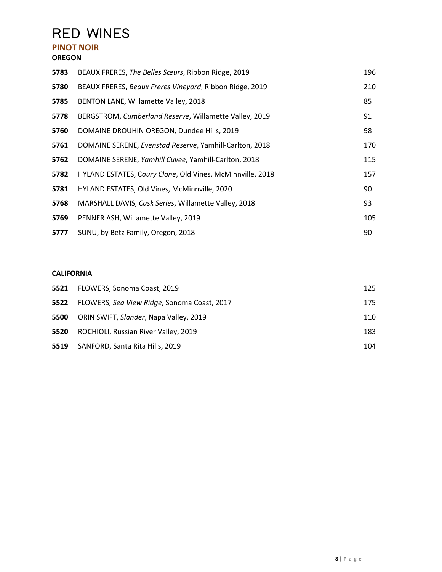# **RED WINES**

#### **PINOT NOIR OREGON**

## BEAUX FRERES, *The Belles Sœurs*, Ribbon Ridge, 2019 196 BEAUX FRERES, *Beaux Freres Vineyard*, Ribbon Ridge, 2019 210 BENTON LANE, Willamette Valley, 2018 **85 85**  BERGSTROM, *Cumberland Reserve*, Willamette Valley, 2019 91 DOMAINE DROUHIN OREGON, Dundee Hills, 2019 **1988** 98 DOMAINE SERENE, *Evenstad Reserve*, Yamhill-Carlton, 2018 170 DOMAINE SERENE, *Yamhill Cuvee*, Yamhill-Carlton, 2018 115 HYLAND ESTATES, C*oury Clone*, Old Vines, McMinnville, 2018 157 HYLAND ESTATES, Old Vines, McMinnville, 2020 90 MARSHALL DAVIS, *Cask Series*, Willamette Valley, 2018 93 PENNER ASH, Willamette Valley, 2019 105 SUNU, by Betz Family, Oregon, 2018 90

#### **CALIFORNIA**

| 5521 | FLOWERS, Sonoma Coast, 2019                 | 125 |
|------|---------------------------------------------|-----|
| 5522 | FLOWERS, Sea View Ridge, Sonoma Coast, 2017 | 175 |
| 5500 | ORIN SWIFT, Slander, Napa Valley, 2019      | 110 |
| 5520 | ROCHIOLI, Russian River Valley, 2019        | 183 |
| 5519 | SANFORD, Santa Rita Hills, 2019             | 104 |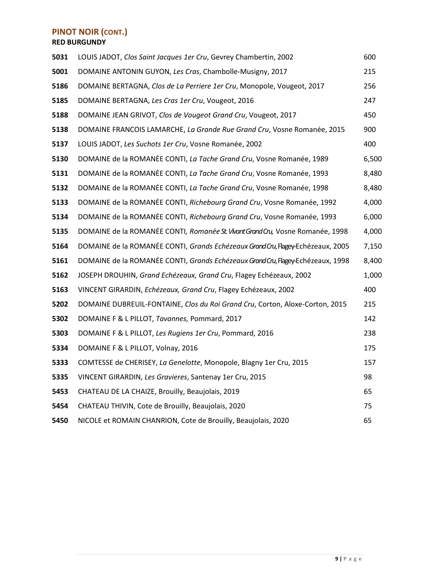### **PINOT NOIR (CONT.)**

**RED BURGUNDY**

| 5031 | LOUIS JADOT, Clos Saint Jacques 1er Cru, Gevrey Chambertin, 2002                | 600   |
|------|---------------------------------------------------------------------------------|-------|
| 5001 | DOMAINE ANTONIN GUYON, Les Cras, Chambolle-Musigny, 2017                        | 215   |
| 5186 | DOMAINE BERTAGNA, Clos de La Perriere 1er Cru, Monopole, Vougeot, 2017          | 256   |
| 5185 | DOMAINE BERTAGNA, Les Cras 1er Cru, Vougeot, 2016                               | 247   |
| 5188 | DOMAINE JEAN GRIVOT, Clos de Vougeot Grand Cru, Vougeot, 2017                   | 450   |
| 5138 | DOMAINE FRANCOIS LAMARCHE, La Grande Rue Grand Cru, Vosne Romanée, 2015         | 900   |
| 5137 | LOUIS JADOT, Les Suchots 1er Cru, Vosne Romanée, 2002                           | 400   |
| 5130 | DOMAINE de la ROMANEE CONTI, La Tache Grand Cru, Vosne Romanée, 1989            | 6,500 |
| 5131 | DOMAINE de la ROMANEE CONTI, La Tache Grand Cru, Vosne Romanée, 1993            | 8,480 |
| 5132 | DOMAINE de la ROMANEE CONTI, La Tache Grand Cru, Vosne Romanée, 1998            | 8,480 |
| 5133 | DOMAINE de la ROMANEE CONTI, Richebourg Grand Cru, Vosne Romanée, 1992          | 4,000 |
| 5134 | DOMAINE de la ROMANEE CONTI, Richebourg Grand Cru, Vosne Romanée, 1993          | 6,000 |
| 5135 | DOMAINE de la ROMANEE CONTI, Romanée St. Vivant Grand Cru, Vosne Romanée, 1998  | 4,000 |
| 5164 | DOMAINE de la ROMANEE CONTI, Grands Echézeaux Grand Cru, Flagey-Echézeaux, 2005 | 7,150 |
| 5161 | DOMAINE de la ROMANEE CONTI, Grands Echézeaux Grand Cru, Flagey-Echézeaux, 1998 | 8,400 |
| 5162 | JOSEPH DROUHIN, Grand Echézeaux, Grand Cru, Flagey Echézeaux, 2002              | 1,000 |
| 5163 | VINCENT GIRARDIN, Echézeaux, Grand Cru, Flagey Echézeaux, 2002                  | 400   |
| 5202 | DOMAINE DUBREUIL-FONTAINE, Clos du Roi Grand Cru, Corton, Aloxe-Corton, 2015    | 215   |
| 5302 | DOMAINE F & L PILLOT, Tavannes, Pommard, 2017                                   | 142   |
| 5303 | DOMAINE F & L PILLOT, Les Rugiens 1er Cru, Pommard, 2016                        | 238   |
| 5334 | DOMAINE F & L PILLOT, Volnay, 2016                                              | 175   |
| 5333 | COMTESSE de CHERISEY, La Genelotte, Monopole, Blagny 1er Cru, 2015              | 157   |
| 5335 | VINCENT GIRARDIN, Les Gravieres, Santenay 1er Cru, 2015                         | 98    |
| 5453 | CHATEAU DE LA CHAIZE, Brouilly, Beaujolais, 2019                                | 65    |
| 5454 | CHATEAU THIVIN, Cote de Brouilly, Beaujolais, 2020                              | 75    |
| 5450 | NICOLE et ROMAIN CHANRION, Cote de Brouilly, Beaujolais, 2020                   | 65    |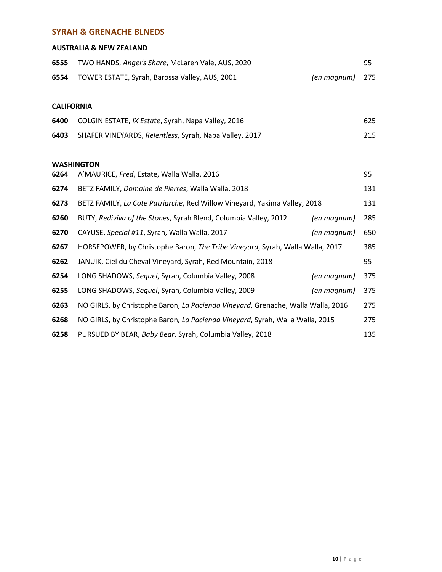#### **SYRAH & GRENACHE BLNEDS**

#### **AUSTRALIA & NEW ZEALAND**

| 6555 | TWO HANDS, Angel's Share, McLaren Vale, AUS, 2020   |                 | -95 |
|------|-----------------------------------------------------|-----------------|-----|
|      | 6554 TOWER ESTATE, Syrah, Barossa Valley, AUS, 2001 | (en magnum) 275 |     |

#### **CALIFORNIA**

| 6400 | COLGIN ESTATE, IX Estate, Syrah, Napa Valley, 2016     | 625 |
|------|--------------------------------------------------------|-----|
| 6403 | SHAFER VINEYARDS, Relentless, Syrah, Napa Valley, 2017 | 215 |

#### **WASHINGTON**

| 6264 | A'MAURICE, Fred, Estate, Walla Walla, 2016                                       |             | 95  |
|------|----------------------------------------------------------------------------------|-------------|-----|
| 6274 | BETZ FAMILY, Domaine de Pierres, Walla Walla, 2018                               |             | 131 |
| 6273 | BETZ FAMILY, La Cote Patriarche, Red Willow Vineyard, Yakima Valley, 2018        |             | 131 |
| 6260 | BUTY, Rediviva of the Stones, Syrah Blend, Columbia Valley, 2012                 | (en magnum) | 285 |
| 6270 | CAYUSE, Special #11, Syrah, Walla Walla, 2017                                    | (en magnum) | 650 |
| 6267 | HORSEPOWER, by Christophe Baron, The Tribe Vineyard, Syrah, Walla Walla, 2017    |             | 385 |
| 6262 | JANUIK, Ciel du Cheval Vineyard, Syrah, Red Mountain, 2018                       |             | 95  |
| 6254 | LONG SHADOWS, Sequel, Syrah, Columbia Valley, 2008                               | (en magnum) | 375 |
| 6255 | LONG SHADOWS, Sequel, Syrah, Columbia Valley, 2009                               | (en magnum) | 375 |
| 6263 | NO GIRLS, by Christophe Baron, La Pacienda Vineyard, Grenache, Walla Walla, 2016 |             | 275 |
| 6268 | NO GIRLS, by Christophe Baron, La Pacienda Vineyard, Syrah, Walla Walla, 2015    |             | 275 |
| 6258 | PURSUED BY BEAR, Baby Bear, Syrah, Columbia Valley, 2018                         |             | 135 |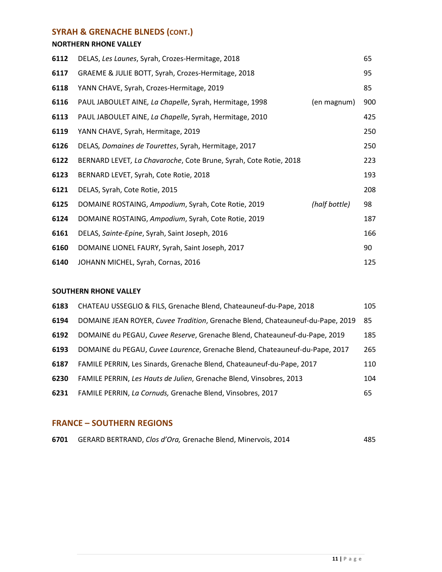### **SYRAH & GRENACHE BLNEDS (CONT.)**

#### **NORTHERN RHONE VALLEY**

| 6112 | DELAS, Les Launes, Syrah, Crozes-Hermitage, 2018                  |               | 65  |
|------|-------------------------------------------------------------------|---------------|-----|
| 6117 | GRAEME & JULIE BOTT, Syrah, Crozes-Hermitage, 2018                |               | 95  |
| 6118 | YANN CHAVE, Syrah, Crozes-Hermitage, 2019                         |               | 85  |
| 6116 | PAUL JABOULET AINE, La Chapelle, Syrah, Hermitage, 1998           | (en magnum)   | 900 |
| 6113 | PAUL JABOULET AINE, La Chapelle, Syrah, Hermitage, 2010           |               | 425 |
| 6119 | YANN CHAVE, Syrah, Hermitage, 2019                                |               | 250 |
| 6126 | DELAS, Domaines de Tourettes, Syrah, Hermitage, 2017              |               | 250 |
| 6122 | BERNARD LEVET, La Chavaroche, Cote Brune, Syrah, Cote Rotie, 2018 |               | 223 |
| 6123 | BERNARD LEVET, Syrah, Cote Rotie, 2018                            |               | 193 |
| 6121 | DELAS, Syrah, Cote Rotie, 2015                                    |               | 208 |
| 6125 | DOMAINE ROSTAING, Ampodium, Syrah, Cote Rotie, 2019               | (half bottle) | 98  |
| 6124 | DOMAINE ROSTAING, Ampodium, Syrah, Cote Rotie, 2019               |               | 187 |
| 6161 | DELAS, Sainte-Epine, Syrah, Saint Joseph, 2016                    |               | 166 |
| 6160 | DOMAINE LIONEL FAURY, Syrah, Saint Joseph, 2017                   |               | 90  |
| 6140 | JOHANN MICHEL, Syrah, Cornas, 2016                                |               | 125 |

#### **SOUTHERN RHONE VALLEY**

| 6183 | CHATEAU USSEGLIO & FILS, Grenache Blend, Chateauneuf-du-Pape, 2018             | 105 |
|------|--------------------------------------------------------------------------------|-----|
| 6194 | DOMAINE JEAN ROYER, Cuvee Tradition, Grenache Blend, Chateauneuf-du-Pape, 2019 | -85 |
| 6192 | DOMAINE du PEGAU, Cuvee Reserve, Grenache Blend, Chateauneuf-du-Pape, 2019     | 185 |
| 6193 | DOMAINE du PEGAU, Cuvee Laurence, Grenache Blend, Chateauneuf-du-Pape, 2017    | 265 |
| 6187 | FAMILE PERRIN, Les Sinards, Grenache Blend, Chateauneuf-du-Pape, 2017          | 110 |
| 6230 | FAMILE PERRIN, Les Hauts de Julien, Grenache Blend, Vinsobres, 2013            | 104 |
| 6231 | FAMILE PERRIN, La Cornuds, Grenache Blend, Vinsobres, 2017                     | 65  |

#### **FRANCE – SOUTHERN REGIONS**

|  | 6701 GERARD BERTRAND, Clos d'Ora, Grenache Blend, Minervois, 2014 |  |  |  | 485 |
|--|-------------------------------------------------------------------|--|--|--|-----|
|--|-------------------------------------------------------------------|--|--|--|-----|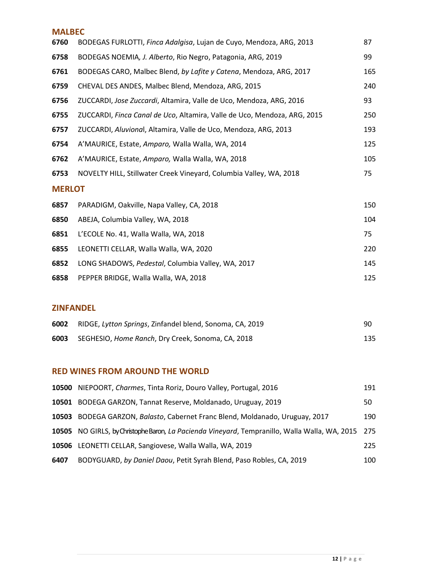#### **MALBEC**

| 6760          | BODEGAS FURLOTTI, Finca Adalgisa, Lujan de Cuyo, Mendoza, ARG, 2013      | 87  |
|---------------|--------------------------------------------------------------------------|-----|
| 6758          | BODEGAS NOEMIA, J. Alberto, Rio Negro, Patagonia, ARG, 2019              | 99  |
| 6761          | BODEGAS CARO, Malbec Blend, by Lafite y Catena, Mendoza, ARG, 2017       | 165 |
| 6759          | CHEVAL DES ANDES, Malbec Blend, Mendoza, ARG, 2015                       | 240 |
| 6756          | ZUCCARDI, Jose Zuccardi, Altamira, Valle de Uco, Mendoza, ARG, 2016      | 93  |
| 6755          | ZUCCARDI, Finca Canal de Uco, Altamira, Valle de Uco, Mendoza, ARG, 2015 | 250 |
| 6757          | ZUCCARDI, Aluvional, Altamira, Valle de Uco, Mendoza, ARG, 2013          | 193 |
| 6754          | A'MAURICE, Estate, Amparo, Walla Walla, WA, 2014                         | 125 |
| 6762          | A'MAURICE, Estate, Amparo, Walla Walla, WA, 2018                         | 105 |
| 6753          | NOVELTY HILL, Stillwater Creek Vineyard, Columbia Valley, WA, 2018       | 75  |
| <b>MERLOT</b> |                                                                          |     |
| 6857          | PARADIGM, Oakville, Napa Valley, CA, 2018                                | 150 |
| 6850          | ABEJA, Columbia Valley, WA, 2018                                         | 104 |
| 6851          | L'ECOLE No. 41, Walla Walla, WA, 2018                                    | 75  |
| 6855          | LEONETTI CELLAR, Walla Walla, WA, 2020                                   | 220 |
| 6852          | LONG SHADOWS, Pedestal, Columbia Valley, WA, 2017                        | 145 |
| 6858          | PEPPER BRIDGE, Walla Walla, WA, 2018                                     | 125 |

#### **ZINFANDEL**

|      | 6002 RIDGE, Lytton Springs, Zinfandel blend, Sonoma, CA, 2019 | 90  |
|------|---------------------------------------------------------------|-----|
| 6003 | SEGHESIO, <i>Home Ranch</i> , Dry Creek, Sonoma, CA, 2018     | 135 |

#### **RED WINES FROM AROUND THE WORLD**

|       | 10500 NIEPOORT, Charmes, Tinta Roriz, Douro Valley, Portugal, 2016                                | 191 |
|-------|---------------------------------------------------------------------------------------------------|-----|
| 10501 | BODEGA GARZON, Tannat Reserve, Moldanado, Uruguay, 2019                                           | 50  |
| 10503 | BODEGA GARZON, Balasto, Cabernet Franc Blend, Moldanado, Uruguay, 2017                            | 190 |
|       | 10505 NO GIRLS, by Christophe Baron, La Pacienda Vineyard, Tempranillo, Walla Walla, WA, 2015 275 |     |
|       | 10506 LEONETTI CELLAR, Sangiovese, Walla Walla, WA, 2019                                          | 225 |
| 6407  | BODYGUARD, by Daniel Daou, Petit Syrah Blend, Paso Robles, CA, 2019                               | 100 |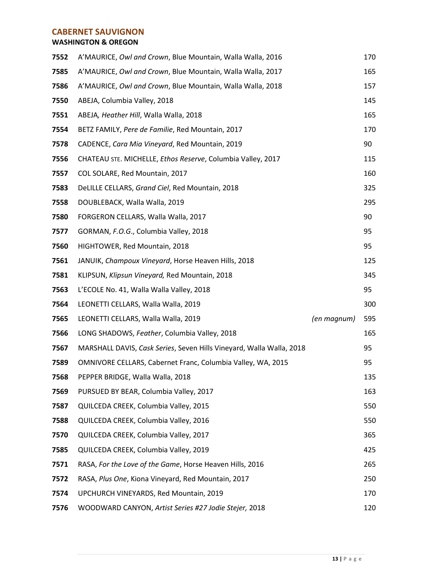#### **CABERNET SAUVIGNON**

#### **WASHINGTON & OREGON**

| 7552 | A'MAURICE, Owl and Crown, Blue Mountain, Walla Walla, 2016           |             | 170 |
|------|----------------------------------------------------------------------|-------------|-----|
| 7585 | A'MAURICE, Owl and Crown, Blue Mountain, Walla Walla, 2017           |             | 165 |
| 7586 | A'MAURICE, Owl and Crown, Blue Mountain, Walla Walla, 2018           |             | 157 |
| 7550 | ABEJA, Columbia Valley, 2018                                         |             | 145 |
| 7551 | ABEJA, Heather Hill, Walla Walla, 2018                               |             | 165 |
| 7554 | BETZ FAMILY, Pere de Familie, Red Mountain, 2017                     |             | 170 |
| 7578 | CADENCE, Cara Mia Vineyard, Red Mountain, 2019                       |             | 90  |
| 7556 | CHATEAU STE. MICHELLE, Ethos Reserve, Columbia Valley, 2017          |             | 115 |
| 7557 | COL SOLARE, Red Mountain, 2017                                       |             | 160 |
| 7583 | DeLILLE CELLARS, Grand Ciel, Red Mountain, 2018                      |             | 325 |
| 7558 | DOUBLEBACK, Walla Walla, 2019                                        |             | 295 |
| 7580 | FORGERON CELLARS, Walla Walla, 2017                                  |             | 90  |
| 7577 | GORMAN, F.O.G., Columbia Valley, 2018                                |             | 95  |
| 7560 | HIGHTOWER, Red Mountain, 2018                                        |             | 95  |
| 7561 | JANUIK, Champoux Vineyard, Horse Heaven Hills, 2018                  |             | 125 |
| 7581 | KLIPSUN, Klipsun Vineyard, Red Mountain, 2018                        |             | 345 |
| 7563 | L'ECOLE No. 41, Walla Walla Valley, 2018                             |             | 95  |
| 7564 | LEONETTI CELLARS, Walla Walla, 2019                                  |             | 300 |
| 7565 | LEONETTI CELLARS, Walla Walla, 2019                                  | (en magnum) | 595 |
| 7566 | LONG SHADOWS, Feather, Columbia Valley, 2018                         |             | 165 |
| 7567 | MARSHALL DAVIS, Cask Series, Seven Hills Vineyard, Walla Walla, 2018 |             | 95  |
| 7589 | OMNIVORE CELLARS, Cabernet Franc, Columbia Valley, WA, 2015          |             | 95  |
| 7568 | PEPPER BRIDGE, Walla Walla, 2018                                     |             | 135 |
| 7569 | PURSUED BY BEAR, Columbia Valley, 2017                               |             | 163 |
| 7587 | QUILCEDA CREEK, Columbia Valley, 2015                                |             | 550 |
| 7588 | QUILCEDA CREEK, Columbia Valley, 2016                                |             | 550 |
| 7570 | QUILCEDA CREEK, Columbia Valley, 2017                                |             | 365 |
| 7585 | QUILCEDA CREEK, Columbia Valley, 2019                                |             | 425 |
| 7571 | RASA, For the Love of the Game, Horse Heaven Hills, 2016             |             | 265 |
| 7572 | RASA, Plus One, Kiona Vineyard, Red Mountain, 2017                   |             | 250 |
| 7574 | UPCHURCH VINEYARDS, Red Mountain, 2019                               |             | 170 |
| 7576 | WOODWARD CANYON, Artist Series #27 Jodie Stejer, 2018                |             | 120 |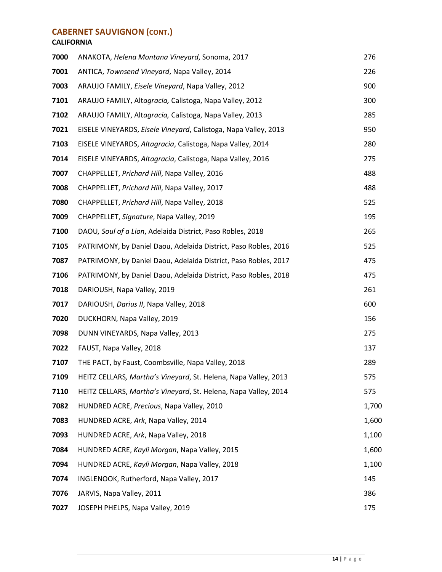### **CABERNET SAUVIGNON (CONT.)**

#### **CALIFORNIA**

| 7000 | ANAKOTA, Helena Montana Vineyard, Sonoma, 2017                  | 276   |
|------|-----------------------------------------------------------------|-------|
| 7001 | ANTICA, Townsend Vineyard, Napa Valley, 2014                    | 226   |
| 7003 | ARAUJO FAMILY, Eisele Vineyard, Napa Valley, 2012               | 900   |
| 7101 | ARAUJO FAMILY, Altagracia, Calistoga, Napa Valley, 2012         | 300   |
| 7102 | ARAUJO FAMILY, Altagracia, Calistoga, Napa Valley, 2013         | 285   |
| 7021 | EISELE VINEYARDS, Eisele Vineyard, Calistoga, Napa Valley, 2013 | 950   |
| 7103 | EISELE VINEYARDS, Altagracia, Calistoga, Napa Valley, 2014      | 280   |
| 7014 | EISELE VINEYARDS, Altagracia, Calistoga, Napa Valley, 2016      | 275   |
| 7007 | CHAPPELLET, Prichard Hill, Napa Valley, 2016                    | 488   |
| 7008 | CHAPPELLET, Prichard Hill, Napa Valley, 2017                    | 488   |
| 7080 | CHAPPELLET, Prichard Hill, Napa Valley, 2018                    | 525   |
| 7009 | CHAPPELLET, Signature, Napa Valley, 2019                        | 195   |
| 7100 | DAOU, Soul of a Lion, Adelaida District, Paso Robles, 2018      | 265   |
| 7105 | PATRIMONY, by Daniel Daou, Adelaida District, Paso Robles, 2016 | 525   |
| 7087 | PATRIMONY, by Daniel Daou, Adelaida District, Paso Robles, 2017 | 475   |
| 7106 | PATRIMONY, by Daniel Daou, Adelaida District, Paso Robles, 2018 | 475   |
| 7018 | DARIOUSH, Napa Valley, 2019                                     | 261   |
| 7017 | DARIOUSH, Darius II, Napa Valley, 2018                          | 600   |
| 7020 | DUCKHORN, Napa Valley, 2019                                     | 156   |
| 7098 | DUNN VINEYARDS, Napa Valley, 2013                               | 275   |
| 7022 | FAUST, Napa Valley, 2018                                        | 137   |
| 7107 | THE PACT, by Faust, Coombsville, Napa Valley, 2018              | 289   |
| 7109 | HEITZ CELLARS, Martha's Vineyard, St. Helena, Napa Valley, 2013 | 575   |
| 7110 | HEITZ CELLARS, Martha's Vineyard, St. Helena, Napa Valley, 2014 | 575   |
| 7082 | HUNDRED ACRE, Precious, Napa Valley, 2010                       | 1,700 |
| 7083 | HUNDRED ACRE, Ark, Napa Valley, 2014                            | 1,600 |
| 7093 | HUNDRED ACRE, Ark, Napa Valley, 2018                            | 1,100 |
| 7084 | HUNDRED ACRE, Kayli Morgan, Napa Valley, 2015                   | 1,600 |
| 7094 | HUNDRED ACRE, Kayli Morgan, Napa Valley, 2018                   | 1,100 |
| 7074 | INGLENOOK, Rutherford, Napa Valley, 2017                        | 145   |
| 7076 | JARVIS, Napa Valley, 2011                                       | 386   |
| 7027 | JOSEPH PHELPS, Napa Valley, 2019                                | 175   |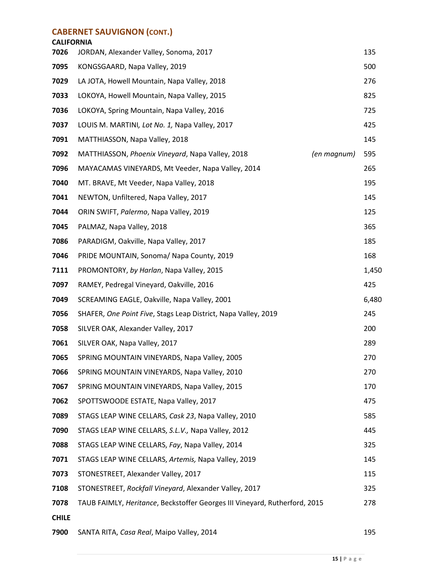#### **CABERNET SAUVIGNON (CONT.)**

## **CALIFORNIA** JORDAN, Alexander Valley, Sonoma, 2017 135 KONGSGAARD, Napa Valley, 2019 **500** SOD 500 LA JOTA, Howell Mountain, Napa Valley, 2018 276 LOKOYA, Howell Mountain, Napa Valley, 2015 825 LOKOYA, Spring Mountain, Napa Valley, 2016 **725 1988**  LOUIS M. MARTINI*, Lot No. 1,* Napa Valley, 2017 425 MATTHIASSON, Napa Valley, 2018 145 MATTHIASSON, *Phoenix Vineyard*, Napa Valley, 2018 *(en magnum)* 595 MAYACAMAS VINEYARDS, Mt Veeder, Napa Valley, 2014 265 MT. BRAVE, Mt Veeder, Napa Valley, 2018 195 NEWTON, Unfiltered, Napa Valley, 2017 145 ORIN SWIFT, *Palermo*, Napa Valley, 2019 125 PALMAZ, Napa Valley, 2018 365 PARADIGM, Oakville, Napa Valley, 2017 185 PRIDE MOUNTAIN, Sonoma/ Napa County, 2019 168 PROMONTORY, *by Harlan*, Napa Valley, 2015 1,450 RAMEY, Pedregal Vineyard, Oakville, 2016 425 SCREAMING EAGLE, Oakville, Napa Valley, 2001 6,480 SHAFER, *One Point Five*, Stags Leap District, Napa Valley, 2019 245 SILVER OAK, Alexander Valley, 2017 200 SILVER OAK, Napa Valley, 2017 289 SPRING MOUNTAIN VINEYARDS, Napa Valley, 2005 270 SPRING MOUNTAIN VINEYARDS, Napa Valley, 2010 270 SPRING MOUNTAIN VINEYARDS, Napa Valley, 2015 170 SPOTTSWOODE ESTATE, Napa Valley, 2017 **1998 12:33 12:34 12:35 12:36 12:36 12:36 12:36 12:36 12:36 12:36 12:36 12:36 12:36 12:36 12:36 12:36 12:36 12:36 12:36 12:36 12:36 12:36 12:36 12:36 12:36 12:36 12:36 12:36 12:**  STAGS LEAP WINE CELLARS, *Cask 23*, Napa Valley, 2010 585 STAGS LEAP WINE CELLARS, *S.L.V.,* Napa Valley, 2012 445 STAGS LEAP WINE CELLARS, *Fay*, Napa Valley, 2014 325 STAGS LEAP WINE CELLARS, *Artemis,* Napa Valley, 2019 145 STONESTREET, Alexander Valley, 2017 115 STONESTREET, *Rockfall Vineyard*, Alexander Valley, 2017 325 TAUB FAIMLY, *Heritance*, Beckstoffer Georges III Vineyard, Rutherford, 2015 278 **CHILE**

SANTA RITA, *Casa Real*, Maipo Valley, 2014 195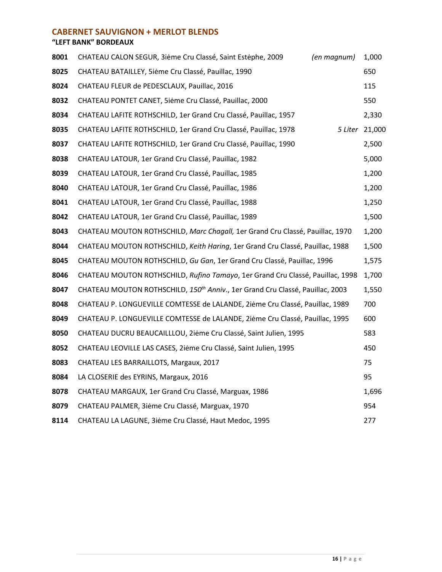#### **CABERNET SAUVIGNON + MERLOT BLENDS**

#### **"LEFT BANK" BORDEAUX**

| 8001 | CHATEAU CALON SEGUR, 3iėme Cru Classé, Saint Estėphe, 2009<br>(en magnum)                 | 1,000          |
|------|-------------------------------------------------------------------------------------------|----------------|
| 8025 | CHATEAU BATAILLEY, 5iėme Cru Classé, Pauillac, 1990                                       | 650            |
| 8024 | CHATEAU FLEUR de PEDESCLAUX, Pauillac, 2016                                               | 115            |
| 8032 | CHATEAU PONTET CANET, 5iėme Cru Classé, Pauillac, 2000                                    | 550            |
| 8034 | CHATEAU LAFITE ROTHSCHILD, 1er Grand Cru Classé, Pauillac, 1957                           | 2,330          |
| 8035 | CHATEAU LAFITE ROTHSCHILD, 1er Grand Cru Classé, Pauillac, 1978                           | 5 Liter 21,000 |
| 8037 | CHATEAU LAFITE ROTHSCHILD, 1er Grand Cru Classé, Pauillac, 1990                           | 2,500          |
| 8038 | CHATEAU LATOUR, 1er Grand Cru Classé, Pauillac, 1982                                      | 5,000          |
| 8039 | CHATEAU LATOUR, 1er Grand Cru Classé, Pauillac, 1985                                      | 1,200          |
| 8040 | CHATEAU LATOUR, 1er Grand Cru Classé, Pauillac, 1986                                      | 1,200          |
| 8041 | CHATEAU LATOUR, 1er Grand Cru Classé, Pauillac, 1988                                      | 1,250          |
| 8042 | CHATEAU LATOUR, 1er Grand Cru Classé, Pauillac, 1989                                      | 1,500          |
| 8043 | CHATEAU MOUTON ROTHSCHILD, Marc Chagall, 1er Grand Cru Classé, Pauillac, 1970             | 1,200          |
| 8044 | CHATEAU MOUTON ROTHSCHILD, Keith Haring, 1er Grand Cru Classé, Pauillac, 1988             | 1,500          |
| 8045 | CHATEAU MOUTON ROTHSCHILD, Gu Gan, 1er Grand Cru Classé, Pauillac, 1996                   | 1,575          |
| 8046 | CHATEAU MOUTON ROTHSCHILD, Rufino Tamayo, 1er Grand Cru Classé, Pauillac, 1998            | 1,700          |
| 8047 | CHATEAU MOUTON ROTHSCHILD, 150 <sup>th</sup> Anniv., 1er Grand Cru Classé, Pauillac, 2003 | 1,550          |
| 8048 | CHATEAU P. LONGUEVILLE COMTESSE de LALANDE, 2ième Cru Classé, Pauillac, 1989              | 700            |
| 8049 | CHATEAU P. LONGUEVILLE COMTESSE de LALANDE, 2ième Cru Classé, Pauillac, 1995              | 600            |
| 8050 | CHATEAU DUCRU BEAUCAILLLOU, 2ième Cru Classé, Saint Julien, 1995                          | 583            |
| 8052 | CHATEAU LEOVILLE LAS CASES, 2ième Cru Classé, Saint Julien, 1995                          | 450            |
| 8083 | CHATEAU LES BARRAILLOTS, Margaux, 2017                                                    | 75             |
| 8084 | LA CLOSERIE des EYRINS, Margaux, 2016                                                     | 95             |
| 8078 | CHATEAU MARGAUX, 1er Grand Cru Classé, Marguax, 1986                                      | 1,696          |
| 8079 | CHATEAU PALMER, 3ième Cru Classé, Marguax, 1970                                           | 954            |
| 8114 | CHATEAU LA LAGUNE, 3ième Cru Classé, Haut Medoc, 1995                                     | 277            |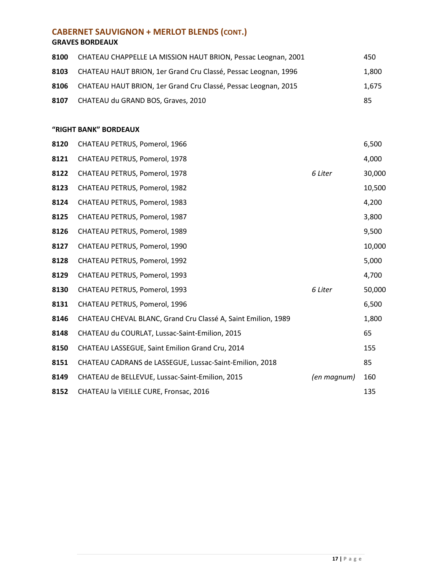### **CABERNET SAUVIGNON + MERLOT BLENDS (CONT.)**

#### **GRAVES BORDEAUX**

| 8100 | CHATEAU CHAPPELLE LA MISSION HAUT BRION, Pessac Leognan, 2001       | 450   |
|------|---------------------------------------------------------------------|-------|
| 8103 | CHATEAU HAUT BRION, 1er Grand Cru Classé, Pessac Leognan, 1996      | 1.800 |
|      | 8106 CHATEAU HAUT BRION, 1er Grand Cru Classé, Pessac Leognan, 2015 | 1.675 |
| 8107 | CHATEAU du GRAND BOS, Graves, 2010                                  | 85    |

#### **"RIGHT BANK" BORDEAUX**

| 8120 | CHATEAU PETRUS, Pomerol, 1966                                 |             | 6,500  |
|------|---------------------------------------------------------------|-------------|--------|
| 8121 | CHATEAU PETRUS, Pomerol, 1978                                 |             | 4,000  |
| 8122 | CHATEAU PETRUS, Pomerol, 1978                                 | 6 Liter     | 30,000 |
| 8123 | CHATEAU PETRUS, Pomerol, 1982                                 |             | 10,500 |
| 8124 | CHATEAU PETRUS, Pomerol, 1983                                 |             | 4,200  |
| 8125 | CHATEAU PETRUS, Pomerol, 1987                                 |             | 3,800  |
| 8126 | CHATEAU PETRUS, Pomerol, 1989                                 |             | 9,500  |
| 8127 | CHATEAU PETRUS, Pomerol, 1990                                 |             | 10,000 |
| 8128 | CHATEAU PETRUS, Pomerol, 1992                                 |             | 5,000  |
| 8129 | CHATEAU PETRUS, Pomerol, 1993                                 |             | 4,700  |
| 8130 | CHATEAU PETRUS, Pomerol, 1993                                 | 6 Liter     | 50,000 |
| 8131 | CHATEAU PETRUS, Pomerol, 1996                                 |             | 6,500  |
| 8146 | CHATEAU CHEVAL BLANC, Grand Cru Classé A, Saint Emilion, 1989 |             | 1,800  |
| 8148 | CHATEAU du COURLAT, Lussac-Saint-Emilion, 2015                |             | 65     |
| 8150 | CHATEAU LASSEGUE, Saint Emilion Grand Cru, 2014               |             | 155    |
| 8151 | CHATEAU CADRANS de LASSEGUE, Lussac-Saint-Emilion, 2018       |             | 85     |
| 8149 | CHATEAU de BELLEVUE, Lussac-Saint-Emilion, 2015               | (en magnum) | 160    |
| 8152 | CHATEAU la VIEILLE CURE, Fronsac, 2016                        |             | 135    |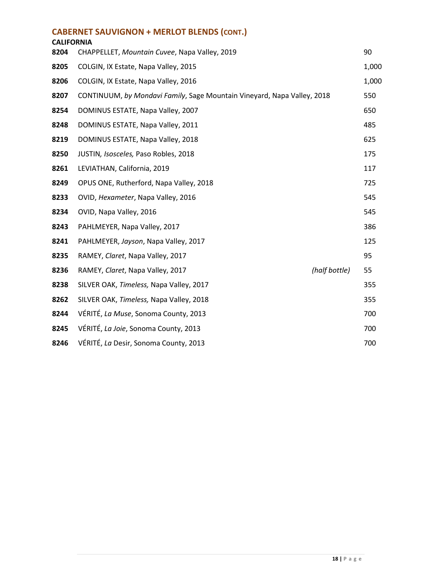#### **CABERNET SAUVIGNON + MERLOT BLENDS (CONT.)**

| <b>CALIFORNIA</b> |                                                                         |               |       |
|-------------------|-------------------------------------------------------------------------|---------------|-------|
| 8204              | CHAPPELLET, Mountain Cuvee, Napa Valley, 2019                           |               | 90    |
| 8205              | COLGIN, IX Estate, Napa Valley, 2015                                    |               | 1,000 |
| 8206              | COLGIN, IX Estate, Napa Valley, 2016                                    |               | 1,000 |
| 8207              | CONTINUUM, by Mondavi Family, Sage Mountain Vineyard, Napa Valley, 2018 |               | 550   |
| 8254              | DOMINUS ESTATE, Napa Valley, 2007                                       |               | 650   |
| 8248              | DOMINUS ESTATE, Napa Valley, 2011                                       |               | 485   |
| 8219              | DOMINUS ESTATE, Napa Valley, 2018                                       |               | 625   |
| 8250              | JUSTIN, Isosceles, Paso Robles, 2018                                    |               | 175   |
| 8261              | LEVIATHAN, California, 2019                                             |               | 117   |
| 8249              | OPUS ONE, Rutherford, Napa Valley, 2018                                 |               | 725   |
| 8233              | OVID, Hexameter, Napa Valley, 2016                                      |               | 545   |
| 8234              | OVID, Napa Valley, 2016                                                 |               | 545   |
| 8243              | PAHLMEYER, Napa Valley, 2017                                            |               | 386   |
| 8241              | PAHLMEYER, Jayson, Napa Valley, 2017                                    |               | 125   |
| 8235              | RAMEY, Claret, Napa Valley, 2017                                        |               | 95    |
| 8236              | RAMEY, Claret, Napa Valley, 2017                                        | (half bottle) | 55    |
| 8238              | SILVER OAK, Timeless, Napa Valley, 2017                                 |               | 355   |
| 8262              | SILVER OAK, Timeless, Napa Valley, 2018                                 |               | 355   |
| 8244              | VÉRITÉ, La Muse, Sonoma County, 2013                                    |               | 700   |
| 8245              | VÉRITÉ, La Joie, Sonoma County, 2013                                    |               | 700   |
| 8246              | VÉRITÉ, La Desir, Sonoma County, 2013                                   |               | 700   |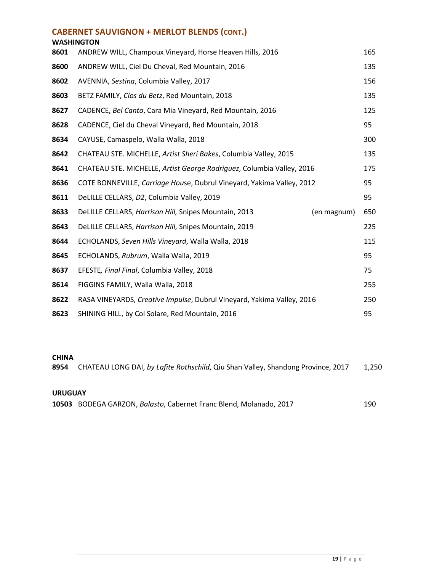| <b>CABERNET SAUVIGNON + MERLOT BLENDS (CONT.)</b><br><b>WASHINGTON</b> |                                                                        |             |     |  |  |
|------------------------------------------------------------------------|------------------------------------------------------------------------|-------------|-----|--|--|
| 8601                                                                   | ANDREW WILL, Champoux Vineyard, Horse Heaven Hills, 2016               |             | 165 |  |  |
| 8600                                                                   | ANDREW WILL, Ciel Du Cheval, Red Mountain, 2016                        |             | 135 |  |  |
| 8602                                                                   | AVENNIA, Sestina, Columbia Valley, 2017                                |             | 156 |  |  |
| 8603                                                                   | BETZ FAMILY, Clos du Betz, Red Mountain, 2018                          |             | 135 |  |  |
| 8627                                                                   | CADENCE, Bel Canto, Cara Mia Vineyard, Red Mountain, 2016              |             | 125 |  |  |
| 8628                                                                   | CADENCE, Ciel du Cheval Vineyard, Red Mountain, 2018                   |             | 95  |  |  |
| 8634                                                                   | CAYUSE, Camaspelo, Walla Walla, 2018                                   |             | 300 |  |  |
| 8642                                                                   | CHATEAU STE. MICHELLE, Artist Sheri Bakes, Columbia Valley, 2015       |             | 135 |  |  |
| 8641                                                                   | CHATEAU STE. MICHELLE, Artist George Rodriguez, Columbia Valley, 2016  |             | 175 |  |  |
| 8636                                                                   | COTE BONNEVILLE, Carriage House, Dubrul Vineyard, Yakima Valley, 2012  |             | 95  |  |  |
| 8611                                                                   | DeLILLE CELLARS, D2, Columbia Valley, 2019                             |             | 95  |  |  |
| 8633                                                                   | DeLILLE CELLARS, Harrison Hill, Snipes Mountain, 2013                  | (en magnum) | 650 |  |  |
| 8643                                                                   | DeLILLE CELLARS, Harrison Hill, Snipes Mountain, 2019                  |             | 225 |  |  |
| 8644                                                                   | ECHOLANDS, Seven Hills Vineyard, Walla Walla, 2018                     |             | 115 |  |  |
| 8645                                                                   | ECHOLANDS, Rubrum, Walla Walla, 2019                                   |             | 95  |  |  |
| 8637                                                                   | EFESTE, Final Final, Columbia Valley, 2018                             |             | 75  |  |  |
| 8614                                                                   | FIGGINS FAMILY, Walla Walla, 2018                                      |             | 255 |  |  |
| 8622                                                                   | RASA VINEYARDS, Creative Impulse, Dubrul Vineyard, Yakima Valley, 2016 |             | 250 |  |  |
| 8623                                                                   | SHINING HILL, by Col Solare, Red Mountain, 2016                        |             | 95  |  |  |

#### **CHINA**

| 8954           | CHATEAU LONG DAI, by Lafite Rothschild, Qiu Shan Valley, Shandong Province, 2017 | 1.250 |
|----------------|----------------------------------------------------------------------------------|-------|
| <b>URUGUAY</b> |                                                                                  |       |
|                | 10503 BODEGA GARZON, Balasto, Cabernet Franc Blend, Molanado, 2017               | 190   |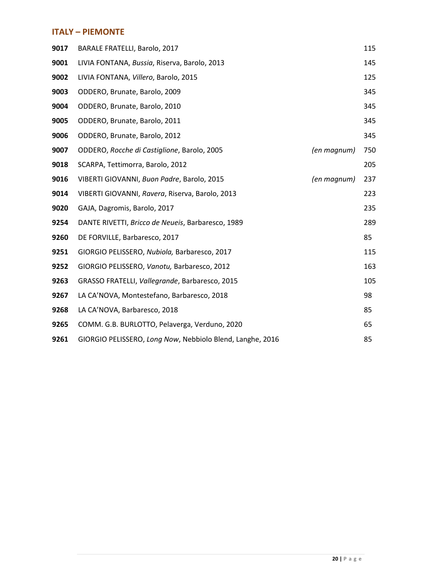#### **ITALY – PIEMONTE**

| 9017 | <b>BARALE FRATELLI, Barolo, 2017</b>                      |             | 115 |
|------|-----------------------------------------------------------|-------------|-----|
| 9001 | LIVIA FONTANA, Bussia, Riserva, Barolo, 2013              |             | 145 |
| 9002 | LIVIA FONTANA, Villero, Barolo, 2015                      |             | 125 |
| 9003 | ODDERO, Brunate, Barolo, 2009                             |             | 345 |
| 9004 | ODDERO, Brunate, Barolo, 2010                             |             | 345 |
| 9005 | ODDERO, Brunate, Barolo, 2011                             |             | 345 |
| 9006 | ODDERO, Brunate, Barolo, 2012                             |             | 345 |
| 9007 | ODDERO, Rocche di Castiglione, Barolo, 2005               | (en magnum) | 750 |
| 9018 | SCARPA, Tettimorra, Barolo, 2012                          |             | 205 |
| 9016 | VIBERTI GIOVANNI, Buon Padre, Barolo, 2015                | (en magnum) | 237 |
| 9014 | VIBERTI GIOVANNI, Ravera, Riserva, Barolo, 2013           |             | 223 |
| 9020 | GAJA, Dagromis, Barolo, 2017                              |             | 235 |
| 9254 | DANTE RIVETTI, Bricco de Neueis, Barbaresco, 1989         |             | 289 |
| 9260 | DE FORVILLE, Barbaresco, 2017                             |             | 85  |
| 9251 | GIORGIO PELISSERO, Nubiola, Barbaresco, 2017              |             | 115 |
| 9252 | GIORGIO PELISSERO, Vanotu, Barbaresco, 2012               |             | 163 |
| 9263 | GRASSO FRATELLI, Vallegrande, Barbaresco, 2015            |             | 105 |
| 9267 | LA CA'NOVA, Montestefano, Barbaresco, 2018                |             | 98  |
| 9268 | LA CA'NOVA, Barbaresco, 2018                              |             | 85  |
| 9265 | COMM. G.B. BURLOTTO, Pelaverga, Verduno, 2020             |             | 65  |
| 9261 | GIORGIO PELISSERO, Long Now, Nebbiolo Blend, Langhe, 2016 |             | 85  |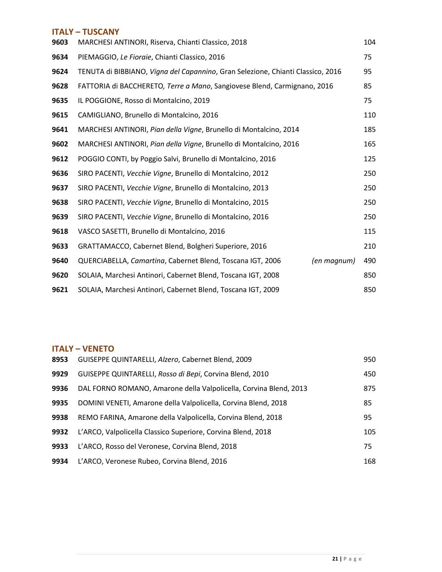#### **ITALY – TUSCANY**

| 9603 | MARCHESI ANTINORI, Riserva, Chianti Classico, 2018                              | 104 |
|------|---------------------------------------------------------------------------------|-----|
| 9634 | PIEMAGGIO, Le Fioraie, Chianti Classico, 2016                                   | 75  |
| 9624 | TENUTA di BIBBIANO, Vigna del Capannino, Gran Selezione, Chianti Classico, 2016 | 95  |
| 9628 | FATTORIA di BACCHERETO, Terre a Mano, Sangiovese Blend, Carmignano, 2016        | 85  |
| 9635 | IL POGGIONE, Rosso di Montalcino, 2019                                          | 75  |
| 9615 | CAMIGLIANO, Brunello di Montalcino, 2016                                        | 110 |
| 9641 | MARCHESI ANTINORI, Pian della Vigne, Brunello di Montalcino, 2014               | 185 |
| 9602 | MARCHESI ANTINORI, Pian della Vigne, Brunello di Montalcino, 2016               | 165 |
| 9612 | POGGIO CONTI, by Poggio Salvi, Brunello di Montalcino, 2016                     | 125 |
| 9636 | SIRO PACENTI, Vecchie Vigne, Brunello di Montalcino, 2012                       | 250 |
| 9637 | SIRO PACENTI, Vecchie Vigne, Brunello di Montalcino, 2013                       | 250 |
| 9638 | SIRO PACENTI, Vecchie Vigne, Brunello di Montalcino, 2015                       | 250 |
| 9639 | SIRO PACENTI, Vecchie Vigne, Brunello di Montalcino, 2016                       | 250 |
| 9618 | VASCO SASETTI, Brunello di Montalcino, 2016                                     | 115 |
| 9633 | GRATTAMACCO, Cabernet Blend, Bolgheri Superiore, 2016                           | 210 |
| 9640 | QUERCIABELLA, Camartina, Cabernet Blend, Toscana IGT, 2006<br>(en magnum)       | 490 |
| 9620 | SOLAIA, Marchesi Antinori, Cabernet Blend, Toscana IGT, 2008                    | 850 |
| 9621 | SOLAIA, Marchesi Antinori, Cabernet Blend, Toscana IGT, 2009                    | 850 |

#### **ITALY – VENETO**

| 8953 | GUISEPPE QUINTARELLI, Alzero, Cabernet Blend, 2009                | 950 |
|------|-------------------------------------------------------------------|-----|
| 9929 | GUISEPPE QUINTARELLI, Rosso di Bepi, Corvina Blend, 2010          | 450 |
| 9936 | DAL FORNO ROMANO, Amarone della Valpolicella, Corvina Blend, 2013 | 875 |
| 9935 | DOMINI VENETI, Amarone della Valpolicella, Corvina Blend, 2018    | 85  |
| 9938 | REMO FARINA, Amarone della Valpolicella, Corvina Blend, 2018      | 95  |
| 9932 | L'ARCO, Valpolicella Classico Superiore, Corvina Blend, 2018      | 105 |
| 9933 | L'ARCO, Rosso del Veronese, Corvina Blend, 2018                   | 75  |
| 9934 | L'ARCO, Veronese Rubeo, Corvina Blend, 2016                       | 168 |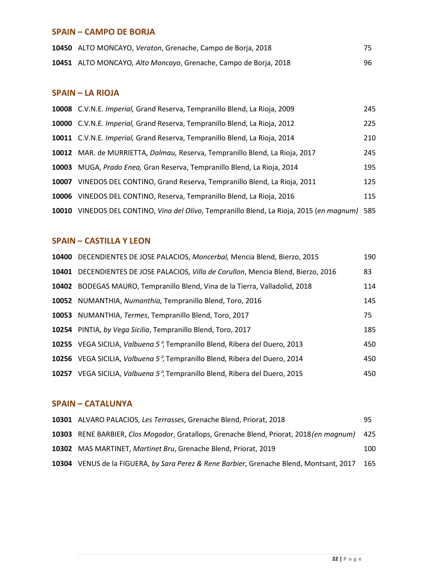#### **SPAIN – CAMPO DE BORJA**

| 10450 ALTO MONCAYO, Veraton, Grenache, Campo de Borja, 2018      |    |
|------------------------------------------------------------------|----|
| 10451 ALTO MONCAYO, Alto Moncayo, Grenache, Campo de Borja, 2018 | 96 |

#### **SPAIN – LA RIOJA**

|       | 10008 C.V.N.E. Imperial, Grand Reserva, Tempranillo Blend, La Rioja, 2009              | 245 |
|-------|----------------------------------------------------------------------------------------|-----|
|       | 10000 C.V.N.E. Imperial, Grand Reserva, Tempranillo Blend, La Rioja, 2012              | 225 |
|       | 10011 C.V.N.E. Imperial, Grand Reserva, Tempranillo Blend, La Rioja, 2014              | 210 |
|       | 10012 MAR. de MURRIETTA, Dalmau, Reserva, Tempranillo Blend, La Rioja, 2017            | 245 |
| 10003 | MUGA, Prado Enea, Gran Reserva, Tempranillo Blend, La Rioja, 2014                      | 195 |
| 10007 | VINEDOS DEL CONTINO, Grand Reserva, Tempranillo Blend, La Rioja, 2011                  | 125 |
| 10006 | VINEDOS DEL CONTINO, Reserva, Tempranillo Blend, La Rioja, 2016                        | 115 |
| 10010 | VINEDOS DEL CONTINO, Vina del Olivo, Tempranillo Blend, La Rioja, 2015 (en magnum) 585 |     |

#### **SPAIN – CASTILLA Y LEON**

|       | 10400 DECENDIENTES DE JOSE PALACIOS, Moncerbal, Mencia Blend, Bierzo, 2015   | 190 |
|-------|------------------------------------------------------------------------------|-----|
| 10401 | DECENDIENTES DE JOSE PALACIOS, Villa de Corullon, Mencia Blend, Bierzo, 2016 | 83  |
|       | 10402 BODEGAS MAURO, Tempranillo Blend, Vina de la Tierra, Valladolid, 2018  | 114 |
|       | 10052 NUMANTHIA, Numanthia, Tempranillo Blend, Toro, 2016                    | 145 |
|       | 10053 NUMANTHIA, Termes, Tempranillo Blend, Toro, 2017                       | 75  |
|       | 10254 PINTIA, by Vega Sicilia, Tempranillo Blend, Toro, 2017                 | 185 |
|       | 10255 VEGA SICILIA, Valbuena 5°, Tempranillo Blend, Ribera del Duero, 2013   | 450 |
|       | 10256 VEGA SICILIA, Valbuena 5°, Tempranillo Blend, Ribera del Duero, 2014   | 450 |
| 10257 | VEGA SICILIA, Valbuena 5°, Tempranillo Blend, Ribera del Duero, 2015         | 450 |

#### **SPAIN – CATALUNYA**

| 10301 ALVARO PALACIOS, Les Terrasses, Grenache Blend, Priorat, 2018                         | 95  |
|---------------------------------------------------------------------------------------------|-----|
| 10303 RENE BARBIER, Clos Mogador, Gratallops, Grenache Blend, Priorat, 2018 (en magnum) 425 |     |
| 10302 MAS MARTINET, Martinet Bru, Grenache Blend, Priorat, 2019                             | 100 |
| 10304 VENUS de la FIGUERA, by Sara Perez & Rene Barbier, Grenache Blend, Montsant, 2017     | 165 |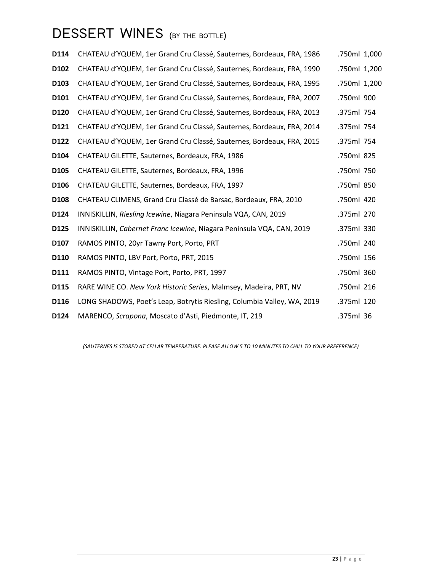# **DESSERT WINES (BY THE BOTTLE)**

| D114             | CHATEAU d'YQUEM, 1er Grand Cru Classé, Sauternes, Bordeaux, FRA, 1986   | .750ml 1,000 |
|------------------|-------------------------------------------------------------------------|--------------|
| D <sub>102</sub> | CHATEAU d'YQUEM, 1er Grand Cru Classé, Sauternes, Bordeaux, FRA, 1990   | .750ml 1,200 |
| D <sub>103</sub> | CHATEAU d'YQUEM, 1er Grand Cru Classé, Sauternes, Bordeaux, FRA, 1995   | .750ml 1,200 |
| D101             | CHATEAU d'YQUEM, 1er Grand Cru Classé, Sauternes, Bordeaux, FRA, 2007   | .750ml 900   |
| D120             | CHATEAU d'YQUEM, 1er Grand Cru Classé, Sauternes, Bordeaux, FRA, 2013   | .375ml 754   |
| D121             | CHATEAU d'YQUEM, 1er Grand Cru Classé, Sauternes, Bordeaux, FRA, 2014   | .375ml 754   |
| D122             | CHATEAU d'YQUEM, 1er Grand Cru Classé, Sauternes, Bordeaux, FRA, 2015   | .375ml 754   |
| D104             | CHATEAU GILETTE, Sauternes, Bordeaux, FRA, 1986                         | .750ml 825   |
| D <sub>105</sub> | CHATEAU GILETTE, Sauternes, Bordeaux, FRA, 1996                         | .750ml 750   |
| D <sub>106</sub> | CHATEAU GILETTE, Sauternes, Bordeaux, FRA, 1997                         | .750ml 850   |
| D108             | CHATEAU CLIMENS, Grand Cru Classé de Barsac, Bordeaux, FRA, 2010        | .750ml 420   |
| D124             | INNISKILLIN, Riesling Icewine, Niagara Peninsula VQA, CAN, 2019         | .375ml 270   |
| D125             | INNISKILLIN, Cabernet Franc Icewine, Niagara Peninsula VQA, CAN, 2019   | .375ml 330   |
| D107             | RAMOS PINTO, 20yr Tawny Port, Porto, PRT                                | .750ml 240   |
| D110             | RAMOS PINTO, LBV Port, Porto, PRT, 2015                                 | .750ml 156   |
| D111             | RAMOS PINTO, Vintage Port, Porto, PRT, 1997                             | .750ml 360   |
| D115             | RARE WINE CO. New York Historic Series, Malmsey, Madeira, PRT, NV       | .750ml 216   |
| D116             | LONG SHADOWS, Poet's Leap, Botrytis Riesling, Columbia Valley, WA, 2019 | .375ml 120   |
| D <sub>124</sub> | MARENCO, Scrapona, Moscato d'Asti, Piedmonte, IT, 219                   | .375ml 36    |

*(SAUTERNES IS STORED AT CELLAR TEMPERATURE. PLEASE ALLOW 5 TO 10 MINUTES TO CHILL TO YOUR PREFERENCE)*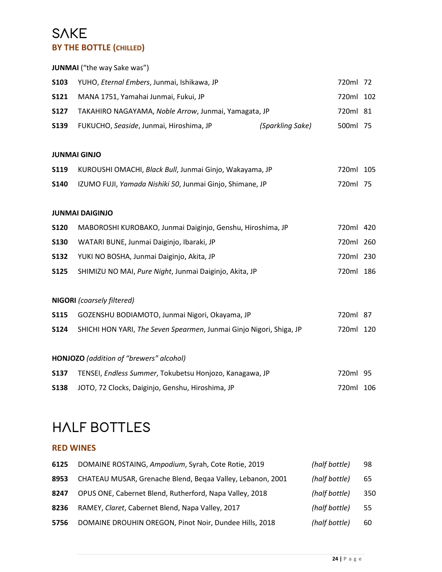### **SAKE BY THE BOTTLE (CHILLED)**

|             | <b>JUNMAI</b> ("the way Sake was")                                  |                  |           |  |
|-------------|---------------------------------------------------------------------|------------------|-----------|--|
| <b>S103</b> | YUHO, Eternal Embers, Junmai, Ishikawa, JP                          |                  | 720ml 72  |  |
| <b>S121</b> | MANA 1751, Yamahai Junmai, Fukui, JP                                |                  | 720ml 102 |  |
| <b>S127</b> | TAKAHIRO NAGAYAMA, Noble Arrow, Junmai, Yamagata, JP                |                  | 720ml 81  |  |
| <b>S139</b> | FUKUCHO, Seaside, Junmai, Hiroshima, JP                             | (Sparkling Sake) | 500ml 75  |  |
|             | <b>JUNMAI GINJO</b>                                                 |                  |           |  |
| <b>S119</b> | KUROUSHI OMACHI, Black Bull, Junmai Ginjo, Wakayama, JP             |                  | 720ml 105 |  |
| <b>S140</b> | IZUMO FUJI, Yamada Nishiki 50, Junmai Ginjo, Shimane, JP            |                  | 720ml 75  |  |
|             |                                                                     |                  |           |  |
|             | <b>JUNMAI DAIGINJO</b>                                              |                  |           |  |
| <b>S120</b> | MABOROSHI KUROBAKO, Junmai Daiginjo, Genshu, Hiroshima, JP          |                  | 720ml 420 |  |
| <b>S130</b> | WATARI BUNE, Junmai Daiginjo, Ibaraki, JP                           |                  | 720ml 260 |  |
| <b>S132</b> | YUKI NO BOSHA, Junmai Daiginjo, Akita, JP                           |                  | 720ml 230 |  |
| <b>S125</b> | SHIMIZU NO MAI, Pure Night, Junmai Daiginjo, Akita, JP              |                  | 720ml 186 |  |
|             |                                                                     |                  |           |  |
|             | <b>NIGORI</b> (coarsely filtered)                                   |                  |           |  |
| <b>S115</b> | GOZENSHU BODIAMOTO, Junmai Nigori, Okayama, JP                      |                  | 720ml 87  |  |
| <b>S124</b> | SHICHI HON YARI, The Seven Spearmen, Junmai Ginjo Nigori, Shiga, JP |                  | 720ml 120 |  |
|             | HONJOZO (addition of "brewers" alcohol)                             |                  |           |  |
| <b>S137</b> | TENSEI, Endless Summer, Tokubetsu Honjozo, Kanagawa, JP             |                  | 720ml 95  |  |
| <b>S138</b> | JOTO, 72 Clocks, Daiginjo, Genshu, Hiroshima, JP                    |                  | 720ml 106 |  |
|             |                                                                     |                  |           |  |

# **HALF BOTTLES**

#### **RED WINES**

| 6125 | DOMAINE ROSTAING, Ampodium, Syrah, Cote Rotie, 2019        | (half bottle) | 98  |
|------|------------------------------------------------------------|---------------|-----|
| 8953 | CHATEAU MUSAR, Grenache Blend, Begaa Valley, Lebanon, 2001 | (half bottle) | 65  |
| 8247 | OPUS ONE, Cabernet Blend, Rutherford, Napa Valley, 2018    | (half bottle) | 350 |
| 8236 | RAMEY, Claret, Cabernet Blend, Napa Valley, 2017           | (half bottle) | 55  |
| 5756 | DOMAINE DROUHIN OREGON, Pinot Noir, Dundee Hills, 2018     | (half bottle) | 60  |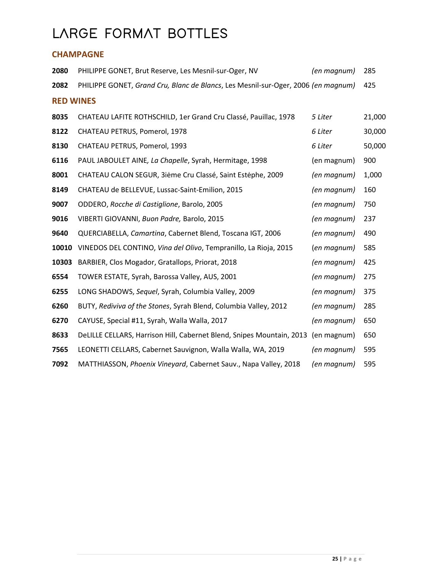# **LARGE FORMAT BOTTLES**

#### **CHAMPAGNE**

| 2080             | PHILIPPE GONET, Brut Reserve, Les Mesnil-sur-Oger, NV                             | (en magnum) | 285    |
|------------------|-----------------------------------------------------------------------------------|-------------|--------|
| 2082             | PHILIPPE GONET, Grand Cru, Blanc de Blancs, Les Mesnil-sur-Oger, 2006 (en magnum) |             | 425    |
| <b>RED WINES</b> |                                                                                   |             |        |
| 8035             | CHATEAU LAFITE ROTHSCHILD, 1er Grand Cru Classé, Pauillac, 1978                   | 5 Liter     | 21,000 |
| 8122             | CHATEAU PETRUS, Pomerol, 1978                                                     | 6 Liter     | 30,000 |
| 8130             | CHATEAU PETRUS, Pomerol, 1993                                                     | 6 Liter     | 50,000 |
| 6116             | PAUL JABOULET AINE, La Chapelle, Syrah, Hermitage, 1998                           | (en magnum) | 900    |
| 8001             | CHATEAU CALON SEGUR, 3ième Cru Classé, Saint Estèphe, 2009                        | (en magnum) | 1,000  |
| 8149             | CHATEAU de BELLEVUE, Lussac-Saint-Emilion, 2015                                   | (en magnum) | 160    |
| 9007             | ODDERO, Rocche di Castiglione, Barolo, 2005                                       | (en magnum) | 750    |
| 9016             | VIBERTI GIOVANNI, Buon Padre, Barolo, 2015                                        | (en magnum) | 237    |
| 9640             | QUERCIABELLA, Camartina, Cabernet Blend, Toscana IGT, 2006                        | (en magnum) | 490    |
| 10010            | VINEDOS DEL CONTINO, Vina del Olivo, Tempranillo, La Rioja, 2015                  | (en magnum) | 585    |
| 10303            | BARBIER, Clos Mogador, Gratallops, Priorat, 2018                                  | (en magnum) | 425    |
| 6554             | TOWER ESTATE, Syrah, Barossa Valley, AUS, 2001                                    | (en magnum) | 275    |
| 6255             | LONG SHADOWS, Sequel, Syrah, Columbia Valley, 2009                                | (en magnum) | 375    |
| 6260             | BUTY, Rediviva of the Stones, Syrah Blend, Columbia Valley, 2012                  | (en magnum) | 285    |
| 6270             | CAYUSE, Special #11, Syrah, Walla Walla, 2017                                     | (en magnum) | 650    |
| 8633             | DeLILLE CELLARS, Harrison Hill, Cabernet Blend, Snipes Mountain, 2013             | (en magnum) | 650    |
| 7565             | LEONETTI CELLARS, Cabernet Sauvignon, Walla Walla, WA, 2019                       | (en magnum) | 595    |
| 7092             | MATTHIASSON, Phoenix Vineyard, Cabernet Sauv., Napa Valley, 2018                  | (en magnum) | 595    |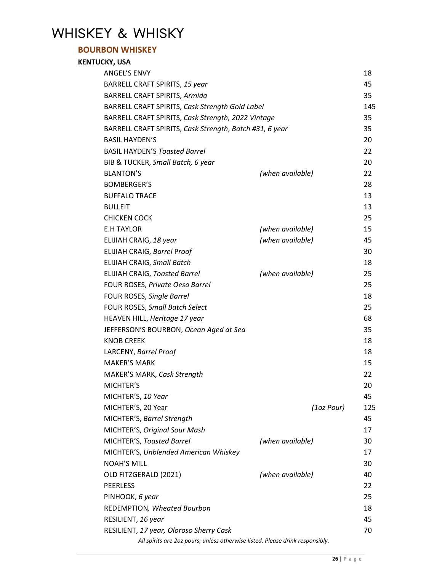# **WHISKEY & WHISKY**

#### **BOURBON WHISKEY**

| <b>KENTUCKY, USA</b>                                                          |                  |     |
|-------------------------------------------------------------------------------|------------------|-----|
| <b>ANGEL'S ENVY</b>                                                           |                  | 18  |
| BARRELL CRAFT SPIRITS, 15 year                                                |                  | 45  |
| <b>BARRELL CRAFT SPIRITS, Armida</b>                                          |                  | 35  |
| BARRELL CRAFT SPIRITS, Cask Strength Gold Label                               |                  | 145 |
| BARRELL CRAFT SPIRITS, Cask Strength, 2022 Vintage                            |                  | 35  |
| BARRELL CRAFT SPIRITS, Cask Strength, Batch #31, 6 year                       |                  | 35  |
| <b>BASIL HAYDEN'S</b>                                                         |                  | 20  |
| <b>BASIL HAYDEN'S Toasted Barrel</b>                                          |                  | 22  |
| BIB & TUCKER, Small Batch, 6 year                                             |                  | 20  |
| <b>BLANTON'S</b>                                                              | (when available) | 22  |
| <b>BOMBERGER'S</b>                                                            |                  | 28  |
| <b>BUFFALO TRACE</b>                                                          |                  | 13  |
| <b>BULLEIT</b>                                                                |                  | 13  |
| <b>CHICKEN COCK</b>                                                           |                  | 25  |
| <b>E.H TAYLOR</b>                                                             | (when available) | 15  |
| ELIJIAH CRAIG, 18 year                                                        | (when available) | 45  |
| ELIJIAH CRAIG, Barrel Proof                                                   |                  | 30  |
| ELIJIAH CRAIG, Small Batch                                                    |                  | 18  |
| <b>ELIJIAH CRAIG, Toasted Barrel</b>                                          | (when available) | 25  |
| FOUR ROSES, Private Oeso Barrel                                               |                  | 25  |
| FOUR ROSES, Single Barrel                                                     |                  | 18  |
| <b>FOUR ROSES, Small Batch Select</b>                                         |                  | 25  |
| HEAVEN HILL, Heritage 17 year                                                 |                  | 68  |
| JEFFERSON'S BOURBON, Ocean Aged at Sea                                        |                  | 35  |
| <b>KNOB CREEK</b>                                                             |                  | 18  |
| LARCENY, Barrel Proof                                                         |                  | 18  |
| <b>MAKER'S MARK</b>                                                           |                  | 15  |
| MAKER'S MARK, Cask Strength                                                   |                  | 22  |
| MICHTER'S                                                                     |                  | 20  |
| MICHTER'S, 10 Year                                                            |                  | 45  |
| MICHTER'S, 20 Year                                                            | (1oz Pour)       | 125 |
| MICHTER'S, Barrel Strength                                                    |                  | 45  |
| MICHTER'S, Original Sour Mash                                                 |                  | 17  |
| MICHTER'S, Toasted Barrel                                                     | (when available) | 30  |
| MICHTER'S, Unblended American Whiskey                                         |                  | 17  |
| <b>NOAH'S MILL</b>                                                            |                  | 30  |
| OLD FITZGERALD (2021)                                                         | (when available) | 40  |
| <b>PEERLESS</b>                                                               |                  | 22  |
| PINHOOK, 6 year                                                               |                  | 25  |
| REDEMPTION, Wheated Bourbon                                                   |                  | 18  |
| RESILIENT, 16 year                                                            |                  | 45  |
| RESILIENT, 17 year, Oloroso Sherry Cask                                       |                  | 70  |
| All spirits are 2oz pours, unless otherwise listed. Please drink responsibly. |                  |     |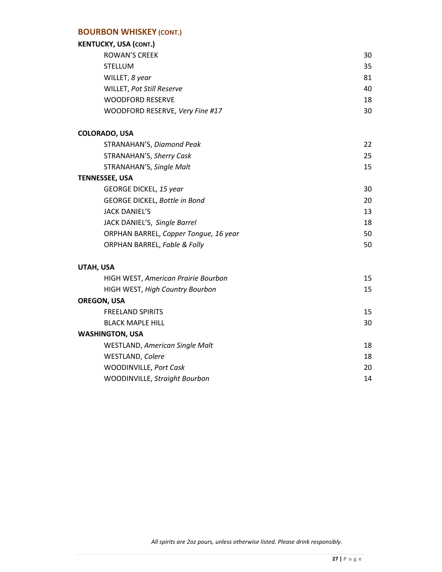#### **BOURBON WHISKEY (CONT.)**

## **KENTUCKY, USA** *(CONT.)*

**WASHINGTON, USA**

| KENTUCKY, USA (CONT.)                      |    |
|--------------------------------------------|----|
| <b>ROWAN'S CREEK</b>                       | 30 |
| <b>STELLUM</b>                             | 35 |
| WILLET, 8 year                             | 81 |
| WILLET, Pot Still Reserve                  | 40 |
| <b>WOODFORD RESERVE</b>                    | 18 |
| WOODFORD RESERVE, Very Fine #17            | 30 |
| <b>COLORADO, USA</b>                       |    |
| STRANAHAN'S, Diamond Peak                  | 22 |
| STRANAHAN'S, Sherry Cask                   | 25 |
| STRANAHAN'S, Single Malt                   | 15 |
| <b>TENNESSEE, USA</b>                      |    |
| <b>GEORGE DICKEL, 15 year</b>              | 30 |
| GEORGE DICKEL, Bottle in Bond              | 20 |
| <b>JACK DANIEL'S</b>                       | 13 |
| JACK DANIEL'S, Single Barrel               | 18 |
| ORPHAN BARREL, Copper Tongue, 16 year      | 50 |
| <b>ORPHAN BARREL, Fable &amp; Folly</b>    | 50 |
| UTAH, USA                                  |    |
| <b>HIGH WEST, American Prairie Bourbon</b> | 15 |
| <b>HIGH WEST, High Country Bourbon</b>     | 15 |
| <b>OREGON, USA</b>                         |    |
| <b>FREELAND SPIRITS</b>                    | 15 |

BLACK MAPLE HILL 30

WESTLAND, *American Single Malt* 18 WESTLAND, *Colere* 18 WOODINVILLE, *Port Cask* 20 WOODINVILLE, *Straight Bourbon* 14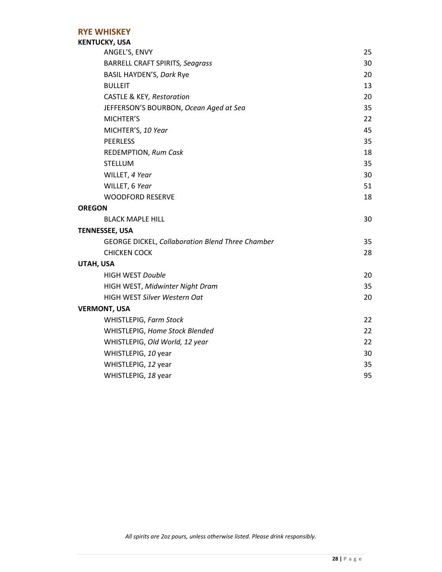#### **RYE WHISKEY**

#### **KENTUCKY, USA**

| ANGEL'S, ENVY                                    | 25 |
|--------------------------------------------------|----|
| <b>BARRELL CRAFT SPIRITS, Seagrass</b>           | 30 |
| BASIL HAYDEN'S, Dark Rye                         | 20 |
| <b>BULLEIT</b>                                   | 13 |
| <b>CASTLE &amp; KEY, Restoration</b>             | 20 |
| JEFFERSON'S BOURBON, Ocean Aged at Sea           | 35 |
| MICHTER'S                                        | 22 |
| MICHTER'S, 10 Year                               | 45 |
| <b>PEERLESS</b>                                  | 35 |
| REDEMPTION, Rum Cask                             | 18 |
| <b>STELLUM</b>                                   | 35 |
| WILLET, 4 Year                                   | 30 |
| WILLET, 6 Year                                   | 51 |
| <b>WOODFORD RESERVE</b>                          | 18 |
| <b>OREGON</b>                                    |    |
| <b>BLACK MAPLE HILL</b>                          | 30 |
| <b>TENNESSEE, USA</b>                            |    |
| GEORGE DICKEL, Collaboration Blend Three Chamber | 35 |
| <b>CHICKEN COCK</b>                              | 28 |
| UTAH, USA                                        |    |
| <b>HIGH WEST Double</b>                          | 20 |
| HIGH WEST, Midwinter Night Dram                  | 35 |
| HIGH WEST Silver Western Oat                     | 20 |
| <b>VERMONT, USA</b>                              |    |
| WHISTLEPIG, Farm Stock                           | 22 |
| WHISTLEPIG, Home Stock Blended                   | 22 |
| WHISTLEPIG, Old World, 12 year                   | 22 |
| WHISTLEPIG, 10 year                              | 30 |
| WHISTLEPIG, 12 year                              | 35 |
| WHISTLEPIG, 18 year                              | 95 |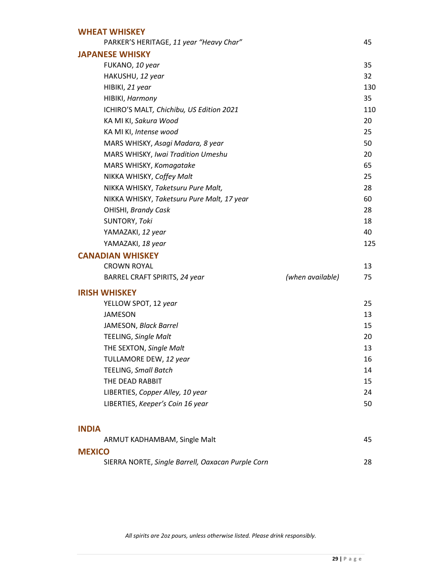| <b>WHEAT WHISKEY</b>                              |                  |     |
|---------------------------------------------------|------------------|-----|
| PARKER'S HERITAGE, 11 year "Heavy Char"           |                  | 45  |
| <b>JAPANESE WHISKY</b>                            |                  |     |
| FUKANO, 10 year                                   |                  | 35  |
| HAKUSHU, 12 year                                  |                  | 32  |
| HIBIKI, 21 year                                   |                  | 130 |
| HIBIKI, Harmony                                   |                  | 35  |
| ICHIRO'S MALT, Chichibu, US Edition 2021          |                  | 110 |
| KA MI KI, Sakura Wood                             |                  | 20  |
| KA MI KI, Intense wood                            |                  | 25  |
| MARS WHISKY, Asagi Madara, 8 year                 |                  | 50  |
| <b>MARS WHISKY, Iwai Tradition Umeshu</b>         |                  | 20  |
| MARS WHISKY, Komagatake                           |                  | 65  |
| NIKKA WHISKY, Coffey Malt                         |                  | 25  |
| NIKKA WHISKY, Taketsuru Pure Malt,                |                  | 28  |
| NIKKA WHISKY, Taketsuru Pure Malt, 17 year        |                  | 60  |
| OHISHI, Brandy Cask                               |                  | 28  |
| SUNTORY, Toki                                     |                  | 18  |
| YAMAZAKI, 12 year                                 |                  | 40  |
| YAMAZAKI, 18 year                                 |                  | 125 |
| <b>CANADIAN WHISKEY</b>                           |                  |     |
| <b>CROWN ROYAL</b>                                |                  | 13  |
| BARREL CRAFT SPIRITS, 24 year                     | (when available) | 75  |
| <b>IRISH WHISKEY</b>                              |                  |     |
| YELLOW SPOT, 12 year                              |                  | 25  |
| <b>JAMESON</b>                                    |                  | 13  |
| JAMESON, Black Barrel                             |                  | 15  |
| TEELING, Single Malt                              |                  | 20  |
| THE SEXTON, Single Malt                           |                  | 13  |
| TULLAMORE DEW, 12 year                            |                  | 16  |
| <b>TEELING, Small Batch</b>                       |                  | 14  |
| THE DEAD RABBIT                                   |                  | 15  |
| LIBERTIES, Copper Alley, 10 year                  |                  | 24  |
| LIBERTIES, Keeper's Coin 16 year                  |                  | 50  |
| <b>INDIA</b>                                      |                  |     |
| ARMUT KADHAMBAM, Single Malt                      |                  | 45  |
| <b>MEXICO</b>                                     |                  |     |
| SIERRA NORTE, Single Barrell, Oaxacan Purple Corn |                  | 28  |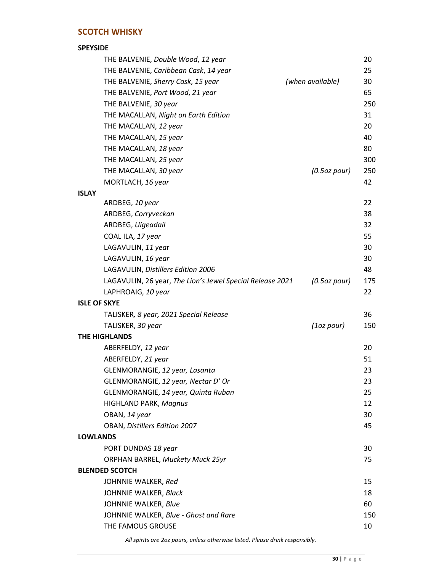#### **SCOTCH WHISKY**

#### **SPEYSIDE** THE BALVENIE, *Double Wood*, *12 year* 20 THE BALVENIE, *Caribbean Cask*, *14 year* 25 THE BALVENIE, *Sherry Cask*, *15 year (when available)* 30 THE BALVENIE, *Port Wood*, *21 year* 65 THE BALVENIE, *30 year* 250 THE MACALLAN, *Night on Earth Edition* 31 THE MACALLAN, 12 year 20 THE MACALLAN, 15 year 120 and 120 and 120 and 120 and 120 and 120 and 120 and 120 and 120 and 120 and 120 and 120 and 120 and 120 and 120 and 120 and 120 and 120 and 120 and 120 and 120 and 120 and 120 and 120 and 120 and THE MACALLAN, 18 year 80 THE MACALLAN, 25 year **300** THE MACALLAN, *30 year (0.5oz pour)* 250 MORTLACH, 16 year 42 **ISLAY** ARDBEG, *10 year* 22 ARDBEG, *Corryveckan* 38 ARDBEG, *Uigeadail* 32 COAL ILA, *17 year* 55 LAGAVULIN, *11 yea*r 30 LAGAVULIN, 16 year 30 LAGAVULIN, *Distillers Edition 2006* 48 LAGAVULIN, 26 year, *The Lion's Jewel Special Release 2021 (0.5oz pour)* 175 LAPHROAIG, *10 year* 22 **ISLE OF SKYE** TALISKER*, 8 year, 2021 Special Release* 36 TALISKER, *30 year (1oz pour)* 150 **THE HIGHLANDS** ABERFELDY, *12 year* 20 ABERFELDY, 21 year 51 GLENMORANGIE, *12 year, Lasanta* 23 GLENMORANGIE, *12 year, Nectar D' Or* 23 GLENMORANGIE, *14 year, Quinta Ruban* 25 HIGHLAND PARK, *Magnus* 12 OBAN, 14 year 30 OBAN, *Distillers Edition 2007* 45 **LOWLANDS** PORT DUNDAS 18 year **30** ORPHAN BARREL, *Muckety Muck 25yr* 75 **BLENDED SCOTCH**  JOHNNIE WALKER, *Red* 15 JOHNNIE WALKER, *Black* 18 JOHNNIE WALKER, *Blue* 60 JOHNNIE WALKER, *Blue - Ghost and Rare* 150

*All spirits are 2oz pours, unless otherwise listed. Please drink responsibly.*

THE FAMOUS GROUSE **10**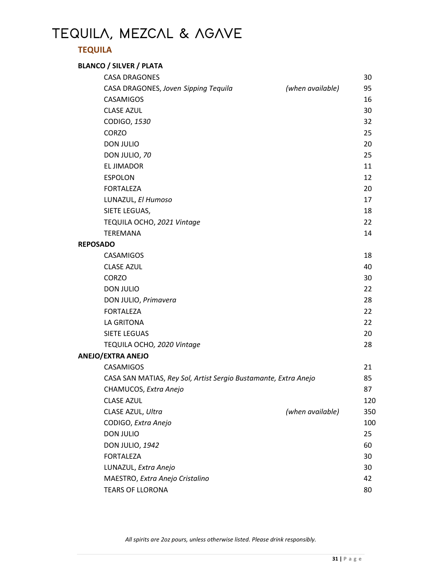# **TEQUILA, MEZCAL & AGAVE**

### **TEQUILA**

#### **BLANCO / SILVER / PLATA**

|                 | <b>CASA DRAGONES</b>                                            |                  | 30  |
|-----------------|-----------------------------------------------------------------|------------------|-----|
|                 | CASA DRAGONES, Joven Sipping Tequila                            | (when available) | 95  |
|                 | <b>CASAMIGOS</b>                                                |                  | 16  |
|                 | <b>CLASE AZUL</b>                                               |                  | 30  |
|                 | CODIGO, 1530                                                    |                  | 32  |
|                 | <b>CORZO</b>                                                    |                  | 25  |
|                 | <b>DON JULIO</b>                                                |                  | 20  |
|                 | DON JULIO, 70                                                   |                  | 25  |
|                 | EL JIMADOR                                                      |                  | 11  |
|                 | <b>ESPOLON</b>                                                  |                  | 12  |
|                 | <b>FORTALEZA</b>                                                |                  | 20  |
|                 | LUNAZUL, El Humoso                                              |                  | 17  |
|                 | SIETE LEGUAS,                                                   |                  | 18  |
|                 | TEQUILA OCHO, 2021 Vintage                                      |                  | 22  |
|                 | <b>TEREMANA</b>                                                 |                  | 14  |
| <b>REPOSADO</b> |                                                                 |                  |     |
|                 | <b>CASAMIGOS</b>                                                |                  | 18  |
|                 | <b>CLASE AZUL</b>                                               |                  | 40  |
|                 | <b>CORZO</b>                                                    |                  | 30  |
|                 | <b>DON JULIO</b>                                                |                  | 22  |
|                 | DON JULIO, Primavera                                            |                  | 28  |
|                 | <b>FORTALEZA</b>                                                |                  | 22  |
|                 | LA GRITONA                                                      |                  | 22  |
|                 | <b>SIETE LEGUAS</b>                                             |                  | 20  |
|                 | TEQUILA OCHO, 2020 Vintage                                      |                  | 28  |
|                 | <b>ANEJO/EXTRA ANEJO</b>                                        |                  |     |
|                 | CASAMIGOS                                                       |                  | 21  |
|                 | CASA SAN MATIAS, Rey Sol, Artist Sergio Bustamante, Extra Anejo |                  | 85  |
|                 | CHAMUCOS, Extra Anejo                                           |                  | 87  |
|                 | <b>CLASE AZUL</b>                                               |                  | 120 |
|                 | CLASE AZUL, Ultra                                               | (when available) | 350 |
|                 | CODIGO, Extra Anejo                                             |                  | 100 |
|                 | <b>DON JULIO</b>                                                |                  | 25  |
|                 | <b>DON JULIO, 1942</b>                                          |                  | 60  |
|                 | <b>FORTALEZA</b>                                                |                  | 30  |
|                 | LUNAZUL, Extra Anejo                                            |                  | 30  |
|                 | MAESTRO, Extra Anejo Cristalino                                 |                  | 42  |
|                 | <b>TEARS OF LLORONA</b>                                         |                  | 80  |
|                 |                                                                 |                  |     |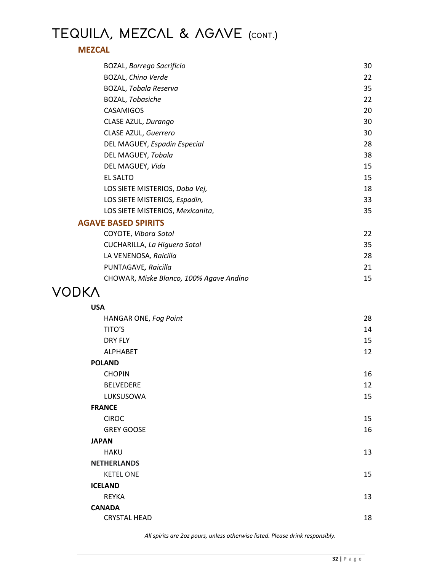# **TEQUILA, MEZCAL & AGAVE (CONT.)**

#### **MEZCAL**

| <b>BOZAL, Borrego Sacrificio</b>        | 30 |
|-----------------------------------------|----|
| BOZAL, Chino Verde                      | 22 |
| <b>BOZAL, Tobala Reserva</b>            | 35 |
| BOZAL, Tobasiche                        | 22 |
| CASAMIGOS                               | 20 |
| CLASE AZUL, Durango                     | 30 |
| CLASE AZUL, Guerrero                    | 30 |
| DEL MAGUEY, Espadin Especial            | 28 |
| DEL MAGUEY, Tobala                      | 38 |
| DEL MAGUEY, Vida                        | 15 |
| EL SALTO                                | 15 |
| LOS SIETE MISTERIOS, Doba Vej,          | 18 |
| LOS SIETE MISTERIOS, Espadin,           | 33 |
| LOS SIETE MISTERIOS, Mexicanita,        | 35 |
| <b>AGAVE BASED SPIRITS</b>              |    |
| COYOTE, Vibora Sotol                    | 22 |
| CUCHARILLA, La Higuera Sotol            | 35 |
| LA VENENOSA, Raicilla                   | 28 |
| PUNTAGAVE, Raicilla                     | 21 |
| CHOWAR, Miske Blanco, 100% Agave Andino | 15 |
| 7K V                                    |    |

## **VODKA**

| 28 |
|----|
| 14 |
| 15 |
| 12 |
|    |
| 16 |
| 12 |
| 15 |
|    |
| 15 |
| 16 |
|    |
| 13 |
|    |
| 15 |
|    |
| 13 |
|    |
| 18 |
|    |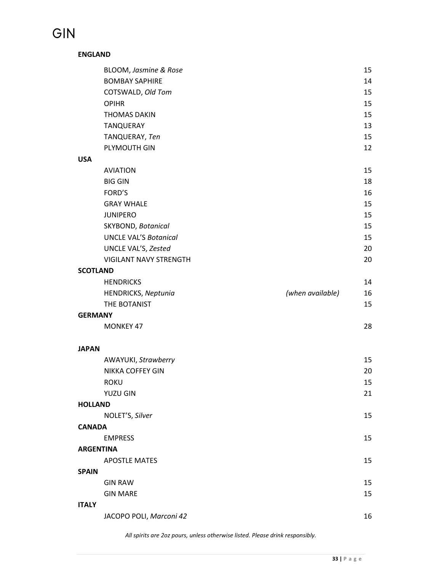# **GIN**

#### **ENGLAND**

|                 | BLOOM, Jasmine & Rose         |                  | 15 |
|-----------------|-------------------------------|------------------|----|
|                 | <b>BOMBAY SAPHIRE</b>         |                  | 14 |
|                 | COTSWALD, Old Tom             |                  | 15 |
|                 | <b>OPIHR</b>                  |                  | 15 |
|                 | <b>THOMAS DAKIN</b>           |                  | 15 |
|                 | TANQUERAY                     |                  | 13 |
|                 | TANQUERAY, Ten                |                  | 15 |
|                 | PLYMOUTH GIN                  |                  | 12 |
| <b>USA</b>      |                               |                  |    |
|                 | <b>AVIATION</b>               |                  | 15 |
|                 | <b>BIG GIN</b>                |                  | 18 |
|                 | FORD'S                        |                  | 16 |
|                 | <b>GRAY WHALE</b>             |                  | 15 |
|                 | <b>JUNIPERO</b>               |                  | 15 |
|                 | SKYBOND, Botanical            |                  | 15 |
|                 | <b>UNCLE VAL'S Botanical</b>  |                  | 15 |
|                 | UNCLE VAL'S, Zested           |                  | 20 |
|                 | <b>VIGILANT NAVY STRENGTH</b> |                  | 20 |
| <b>SCOTLAND</b> |                               |                  |    |
|                 | <b>HENDRICKS</b>              |                  | 14 |
|                 | <b>HENDRICKS, Neptunia</b>    | (when available) | 16 |
|                 | THE BOTANIST                  |                  | 15 |
| <b>GERMANY</b>  |                               |                  |    |
|                 | <b>MONKEY 47</b>              |                  | 28 |
| <b>JAPAN</b>    |                               |                  |    |
|                 | AWAYUKI, Strawberry           |                  | 15 |
|                 | NIKKA COFFEY GIN              |                  | 20 |
|                 | <b>ROKU</b>                   |                  | 15 |
|                 | <b>YUZU GIN</b>               |                  | 21 |
| <b>HOLLAND</b>  |                               |                  |    |
|                 | NOLET'S, Silver               |                  | 15 |
| <b>CANADA</b>   |                               |                  |    |
|                 | <b>EMPRESS</b>                |                  | 15 |
|                 | <b>ARGENTINA</b>              |                  |    |
|                 | <b>APOSTLE MATES</b>          |                  | 15 |
| <b>SPAIN</b>    |                               |                  |    |
|                 | <b>GIN RAW</b>                |                  | 15 |
|                 | <b>GIN MARE</b>               |                  | 15 |
| <b>ITALY</b>    |                               |                  |    |
|                 | JACOPO POLI, Marconi 42       |                  | 16 |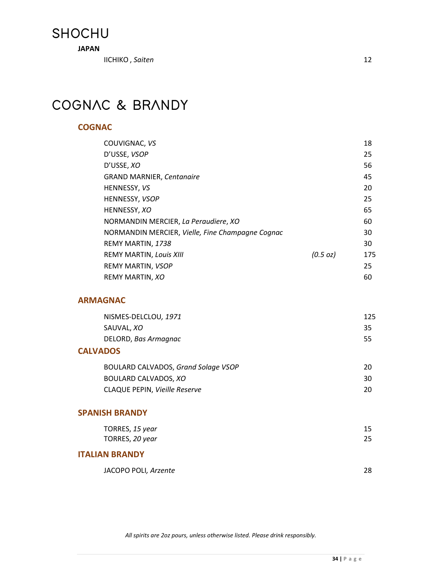## **SHOCHU**

**JAPAN**

IICHIKO , *Saiten* 12

# **COGNAC & BRANDY**

#### **COGNAC**

| COUVIGNAC, VS                                    |          | 18  |
|--------------------------------------------------|----------|-----|
| D'USSE, VSOP                                     |          | 25  |
| D'USSE, XO                                       |          | 56  |
| <b>GRAND MARNIER, Centanaire</b>                 |          | 45  |
| HENNESSY, VS                                     |          | 20  |
| HENNESSY, VSOP                                   |          | 25  |
| HENNESSY, XO                                     |          | 65  |
| NORMANDIN MERCIER, La Peraudiere, XO             |          | 60  |
| NORMANDIN MERCIER, Vielle, Fine Champagne Cognac |          | 30  |
| REMY MARTIN, 1738                                |          | 30  |
| <b>REMY MARTIN, Louis XIII</b>                   | (0.5 oz) | 175 |
| REMY MARTIN, VSOP                                |          | 25  |
| REMY MARTIN, XO                                  |          | 60  |
|                                                  |          |     |

#### **ARMAGNAC**

| NISMES-DELCLOU, 1971 | 125 |
|----------------------|-----|
| SAUVAL, <i>XO</i>    | 35  |
| DELORD, Bas Armagnac | 55  |

#### **CALVADOS**

| BOULARD CALVADOS, Grand Solage VSOP |           |
|-------------------------------------|-----------|
| BOULARD CALVADOS. <i>XO</i>         | 30.       |
| CLAQUE PEPIN, Vieille Reserve       | <b>20</b> |

#### **SPANISH BRANDY**

| TORRES, 15 year |  |
|-----------------|--|
| TORRES, 20 year |  |

#### **ITALIAN BRANDY**

| JACOPO POLI, Arzente |  |
|----------------------|--|
|                      |  |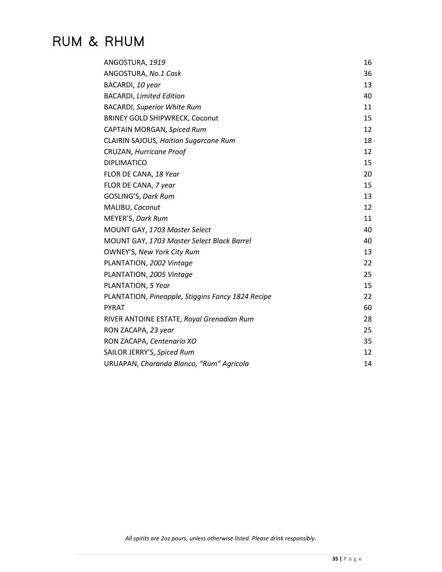## **RUM & RHUM**

| ANGOSTURA, 1919                                   | 16 |
|---------------------------------------------------|----|
| ANGOSTURA, No.1 Cask                              | 36 |
| BACARDI, 10 year                                  | 13 |
| <b>BACARDI, Limited Edition</b>                   | 40 |
| <b>BACARDI, Superior White Rum</b>                | 11 |
| <b>BRINEY GOLD SHIPWRECK, Coconut</b>             | 15 |
| CAPTAIN MORGAN, Spiced Rum                        | 12 |
| CLAIRIN SAJOUS, Haitian Sugarcane Rum             | 18 |
| CRUZAN, Hurricane Proof                           | 12 |
| <b>DIPLIMATICO</b>                                | 15 |
| FLOR DE CANA, 18 Year                             | 20 |
| FLOR DE CANA, 7 year                              | 15 |
| GOSLING'S, Dark Rum                               | 13 |
| MALIBU, Coconut                                   | 12 |
| MEYER'S, Dark Rum                                 | 11 |
| MOUNT GAY, 1703 Master Select                     | 40 |
| MOUNT GAY, 1703 Master Select Black Barrel        | 40 |
| <b>OWNEY'S, New York City Rum</b>                 | 13 |
| PLANTATION, 2002 Vintage                          | 22 |
| PLANTATION, 2005 Vintage                          | 25 |
| PLANTATION, 5 Year                                | 15 |
| PLANTATION, Pineapple, Stiggins Fancy 1824 Recipe | 22 |
| <b>PYRAT</b>                                      | 60 |
| RIVER ANTOINE ESTATE, Royal Grenadian Rum         | 28 |
| RON ZACAPA, 23 year                               | 25 |
| RON ZACAPA, Centenario XO                         | 35 |
| SAILOR JERRY'S, Spiced Rum                        | 12 |
| URUAPAN, Charanda Blanco, "Rum" Agricola          | 14 |